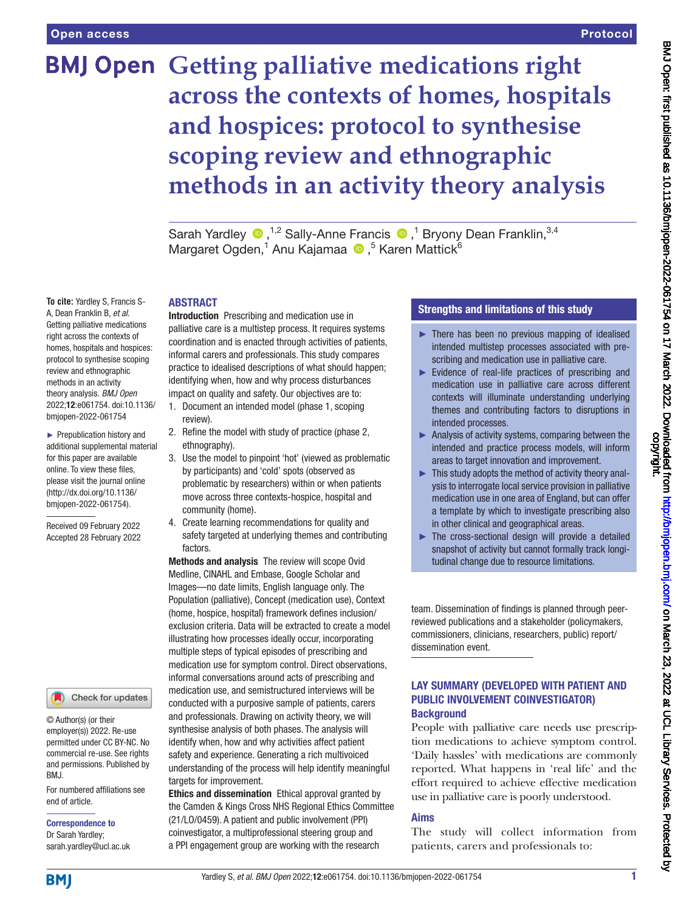# **BMJ Open** Getting palliative medications right **across the contexts of homes, hospitals and hospices: protocol to synthesise scoping review and ethnographic methods in an activity theory analysis**

SarahYardley <sup>®</sup>,<sup>1,2</sup> Sally-Anne Francis <sup>®</sup>,<sup>1</sup> Bryony Dean Franklin,<sup>3,4</sup> MargaretOgden,<sup>1</sup> Anu Kajamaa (D,<sup>5</sup> Karen Mattick<sup>6</sup>

#### ABSTRACT

Introduction Prescribing and medication use in palliative care is a multistep process. It requires systems coordination and is enacted through activities of patients, informal carers and professionals. This study compares practice to idealised descriptions of what should happen; identifying when, how and why process disturbances impact on quality and safety. Our objectives are to:

- 1. Document an intended model (phase 1, scoping review).
- 2. Refine the model with study of practice (phase 2, ethnography).
- 3. Use the model to pinpoint 'hot' (viewed as problematic by participants) and 'cold' spots (observed as problematic by researchers) within or when patients move across three contexts-hospice, hospital and community (home).
- 4. Create learning recommendations for quality and safety targeted at underlying themes and contributing factors.

Methods and analysis The review will scope Ovid Medline, CINAHL and Embase, Google Scholar and Images—no date limits, English language only. The Population (palliative), Concept (medication use), Context (home, hospice, hospital) framework defines inclusion/ exclusion criteria. Data will be extracted to create a model illustrating how processes ideally occur, incorporating multiple steps of typical episodes of prescribing and medication use for symptom control. Direct observations, informal conversations around acts of prescribing and medication use, and semistructured interviews will be conducted with a purposive sample of patients, carers and professionals. Drawing on activity theory, we will synthesise analysis of both phases. The analysis will identify when, how and why activities affect patient safety and experience. Generating a rich multivoiced understanding of the process will help identify meaningful targets for improvement.

Ethics and dissemination Ethical approval granted by the Camden & Kings Cross NHS Regional Ethics Committee (21/LO/0459). A patient and public involvement (PPI) coinvestigator, a multiprofessional steering group and a PPI engagement group are working with the research

## Strengths and limitations of this study

- $\blacktriangleright$  There has been no previous mapping of idealised intended multistep processes associated with prescribing and medication use in palliative care.
- ► Evidence of real-life practices of prescribing and medication use in palliative care across different contexts will illuminate understanding underlying themes and contributing factors to disruptions in intended processes.
- ► Analysis of activity systems, comparing between the intended and practice process models, will inform areas to target innovation and improvement.
- $\blacktriangleright$  This study adopts the method of activity theory analysis to interrogate local service provision in palliative medication use in one area of England, but can offer a template by which to investigate prescribing also in other clinical and geographical areas.
- ► The cross-sectional design will provide a detailed snapshot of activity but cannot formally track longitudinal change due to resource limitations.

team. Dissemination of findings is planned through peerreviewed publications and a stakeholder (policymakers, commissioners, clinicians, researchers, public) report/ dissemination event.

## LAY SUMMARY (DEVELOPED WITH PATIENT AND PUBLIC INVOLVEMENT COINVESTIGATOR) **Background**

People with palliative care needs use prescription medications to achieve symptom control. 'Daily hassles' with medications are commonly reported. What happens in 'real life' and the effort required to achieve effective medication use in palliative care is poorly understood.

## Aims

The study will collect information from patients, carers and professionals to:

**To cite:** Yardley S, Francis S-A, Dean Franklin B, *et al*. Getting palliative medications right across the contexts of homes, hospitals and hospices: protocol to synthesise scoping review and ethnographic methods in an activity theory analysis. *BMJ Open* 2022;12:e061754. doi:10.1136/ bmjopen-2022-061754

► Prepublication history and additional supplemental material for this paper are available online. To view these files, please visit the journal online [\(http://dx.doi.org/10.1136/](http://dx.doi.org/10.1136/bmjopen-2022-061754) [bmjopen-2022-061754](http://dx.doi.org/10.1136/bmjopen-2022-061754)).

Received 09 February 2022 Accepted 28 February 2022



© Author(s) (or their employer(s)) 2022. Re-use permitted under CC BY-NC. No commercial re-use. See rights and permissions. Published by BMJ.

For numbered affiliations see end of article.

# Correspondence to Dr Sarah Yardley;

sarah.yardley@ucl.ac.uk

**BMI**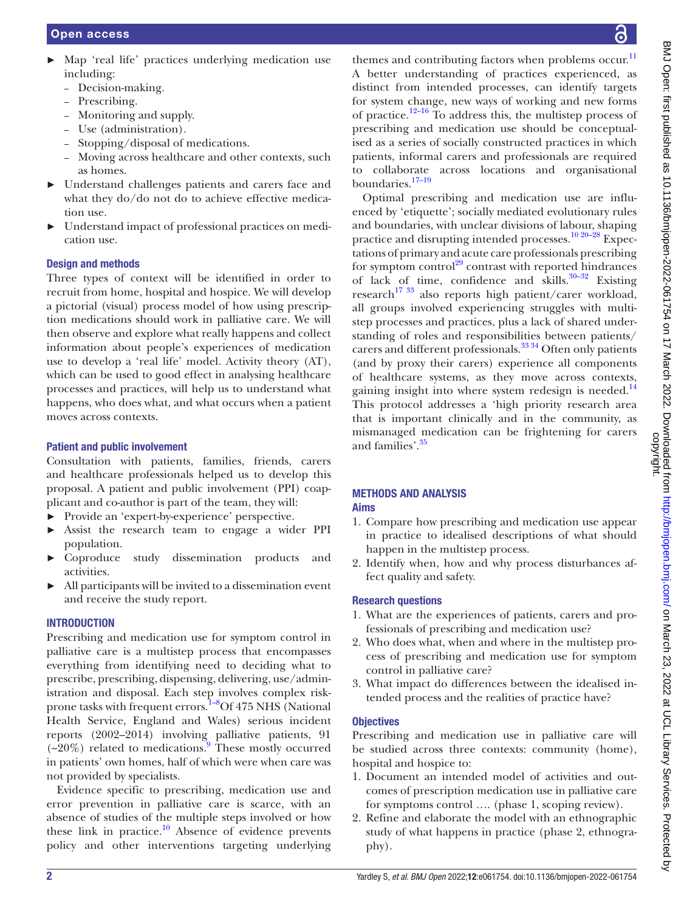- ► Map 'real life' practices underlying medication use including:
	- Decision-making.
	- Prescribing.
	- Monitoring and supply.
	- Use (administration).
	- Stopping/disposal of medications.
	- Moving across healthcare and other contexts, such as homes.
- ► Understand challenges patients and carers face and what they do/do not do to achieve effective medication use.
- Understand impact of professional practices on medication use.

## Design and methods

Three types of context will be identified in order to recruit from home, hospital and hospice. We will develop a pictorial (visual) process model of how using prescription medications should work in palliative care. We will then observe and explore what really happens and collect information about people's experiences of medication use to develop a 'real life' model. Activity theory (AT), which can be used to good effect in analysing healthcare processes and practices, will help us to understand what happens, who does what, and what occurs when a patient moves across contexts.

## Patient and public involvement

Consultation with patients, families, friends, carers and healthcare professionals helped us to develop this proposal. A patient and public involvement (PPI) coapplicant and co-author is part of the team, they will:

- ► Provide an 'expert-by-experience' perspective.
- ► Assist the research team to engage a wider PPI population.
- ► Coproduce study dissemination products and activities.
- ► All participants will be invited to a dissemination event and receive the study report.

## **INTRODUCTION**

Prescribing and medication use for symptom control in palliative care is a multistep process that encompasses everything from identifying need to deciding what to prescribe, prescribing, dispensing, delivering, use/administration and disposal. Each step involves complex riskprone tasks with frequent errors.<sup>1–8</sup>Of 475 NHS (National Health Service, England and Wales) serious incident reports (2002–2014) involving palliative patients, 91  $(\sim20\%)$  related to medications. These mostly occurred in patients' own homes, half of which were when care was not provided by specialists.

Evidence specific to prescribing, medication use and error prevention in palliative care is scarce, with an absence of studies of the multiple steps involved or how these link in practice.<sup>[10](#page-7-1)</sup> Absence of evidence prevents policy and other interventions targeting underlying

themes and contributing factors when problems occur.<sup>[11](#page-7-2)</sup> A better understanding of practices experienced, as distinct from intended processes, can identify targets for system change, new ways of working and new forms of practice.<sup>12–16</sup> To address this, the multistep process of prescribing and medication use should be conceptualised as a series of socially constructed practices in which patients, informal carers and professionals are required to collaborate across locations and organisational boundaries.[17–19](#page-7-4)

Optimal prescribing and medication use are influenced by 'etiquette'; socially mediated evolutionary rules and boundaries, with unclear divisions of labour, shaping practice and disrupting intended processes.<sup>10 20–28</sup> Expectations of primary and acute care professionals prescribing for symptom control<sup>[29](#page-7-5)</sup> contrast with reported hindrances of lack of time, confidence and skills. $30-32$  Existing research<sup>17 33</sup> also reports high patient/carer workload, all groups involved experiencing struggles with multistep processes and practices, plus a lack of shared understanding of roles and responsibilities between patients/ carers and different professionals.<sup>33</sup> 34 Often only patients (and by proxy their carers) experience all components of healthcare systems, as they move across contexts, gaining insight into where system redesign is needed.<sup>[14](#page-7-8)</sup> This protocol addresses a 'high priority research area that is important clinically and in the community, as mismanaged medication can be frightening for carers and families'.<sup>[35](#page-7-9)</sup>

#### METHODS AND ANALYSIS Aims

- 1. Compare how prescribing and medication use appear in practice to idealised descriptions of what should happen in the multistep process.
- 2. Identify when, how and why process disturbances affect quality and safety.

## Research questions

- 1. What are the experiences of patients, carers and professionals of prescribing and medication use?
- 2. Who does what, when and where in the multistep process of prescribing and medication use for symptom control in palliative care?
- 3. What impact do differences between the idealised intended process and the realities of practice have?

## **Objectives**

Prescribing and medication use in palliative care will be studied across three contexts: community (home), hospital and hospice to:

- 1. Document an intended model of activities and outcomes of prescription medication use in palliative care for symptoms control …. (phase 1, scoping review).
- 2. Refine and elaborate the model with an ethnographic study of what happens in practice (phase 2, ethnography).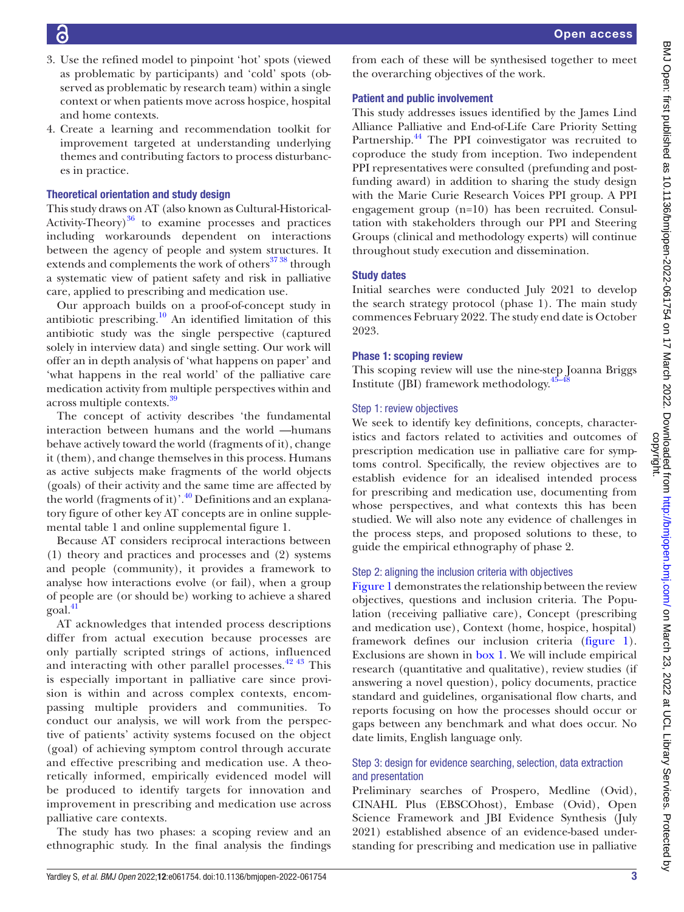- 3. Use the refined model to pinpoint 'hot' spots (viewed as problematic by participants) and 'cold' spots (observed as problematic by research team) within a single context or when patients move across hospice, hospital and home contexts.
- 4. Create a learning and recommendation toolkit for improvement targeted at understanding underlying themes and contributing factors to process disturbances in practice.

## Theoretical orientation and study design

This study draws on AT (also known as Cultural-Historical-Activity-Theory) $36$  to examine processes and practices including workarounds dependent on interactions between the agency of people and system structures. It extends and complements the work of others<sup>3738</sup> through a systematic view of patient safety and risk in palliative care, applied to prescribing and medication use.

Our approach builds on a proof-of-concept study in antibiotic prescribing.<sup>10</sup> An identified limitation of this antibiotic study was the single perspective (captured solely in interview data) and single setting. Our work will offer an in depth analysis of 'what happens on paper' and 'what happens in the real world' of the palliative care medication activity from multiple perspectives within and across multiple contexts.[39](#page-7-12)

The concept of activity describes 'the fundamental interaction between humans and the world —humans behave actively toward the world (fragments of it), change it (them), and change themselves in this process. Humans as active subjects make fragments of the world objects (goals) of their activity and the same time are affected by the world (fragments of it)'.<sup>40</sup> Definitions and an explanatory figure of other key AT concepts are in [online supple](https://dx.doi.org/10.1136/bmjopen-2022-061754)[mental table 1](https://dx.doi.org/10.1136/bmjopen-2022-061754) and [online supplemental figure 1.](https://dx.doi.org/10.1136/bmjopen-2022-061754)

Because AT considers reciprocal interactions between (1) theory and practices and processes and (2) systems and people (community), it provides a framework to analyse how interactions evolve (or fail), when a group of people are (or should be) working to achieve a shared goal[.41](#page-7-14)

AT acknowledges that intended process descriptions differ from actual execution because processes are only partially scripted strings of actions, influenced and interacting with other parallel processes.  $42\frac{43}{1}$  This is especially important in palliative care since provision is within and across complex contexts, encompassing multiple providers and communities. To conduct our analysis, we will work from the perspective of patients' activity systems focused on the object (goal) of achieving symptom control through accurate and effective prescribing and medication use. A theoretically informed, empirically evidenced model will be produced to identify targets for innovation and improvement in prescribing and medication use across palliative care contexts.

The study has two phases: a scoping review and an ethnographic study. In the final analysis the findings from each of these will be synthesised together to meet the overarching objectives of the work.

## Patient and public involvement

This study addresses issues identified by the James Lind Alliance Palliative and End-of-Life Care Priority Setting Partnership.<sup>44</sup> The PPI coinvestigator was recruited to coproduce the study from inception. Two independent PPI representatives were consulted (prefunding and postfunding award) in addition to sharing the study design with the Marie Curie Research Voices PPI group. A PPI engagement group (n=10) has been recruited. Consultation with stakeholders through our PPI and Steering Groups (clinical and methodology experts) will continue throughout study execution and dissemination.

## Study dates

Initial searches were conducted July 2021 to develop the search strategy protocol (phase 1). The main study commences February 2022. The study end date is October 2023.

## Phase 1: scoping review

This scoping review will use the nine-step Joanna Briggs Institute (JBI) framework methodology. [45–48](#page-7-17)

## Step 1: review objectives

We seek to identify key definitions, concepts, characteristics and factors related to activities and outcomes of prescription medication use in palliative care for symptoms control. Specifically, the review objectives are to establish evidence for an idealised intended process for prescribing and medication use, documenting from whose perspectives, and what contexts this has been studied. We will also note any evidence of challenges in the process steps, and proposed solutions to these, to guide the empirical ethnography of phase 2.

## Step 2: aligning the inclusion criteria with objectives

[Figure](#page-3-0) 1 demonstrates the relationship between the review objectives, questions and inclusion criteria. The Population (receiving palliative care), Concept (prescribing and medication use), Context (home, hospice, hospital) framework defines our inclusion criteria ([figure](#page-3-0) 1). Exclusions are shown in [box](#page-3-1) 1. We will include empirical research (quantitative and qualitative), review studies (if answering a novel question), policy documents, practice standard and guidelines, organisational flow charts, and reports focusing on how the processes should occur or gaps between any benchmark and what does occur. No date limits, English language only.

## Step 3: design for evidence searching, selection, data extraction and presentation

Preliminary searches of Prospero, Medline (Ovid), CINAHL Plus (EBSCOhost), Embase (Ovid), Open Science Framework and JBI Evidence Synthesis (July 2021) established absence of an evidence-based understanding for prescribing and medication use in palliative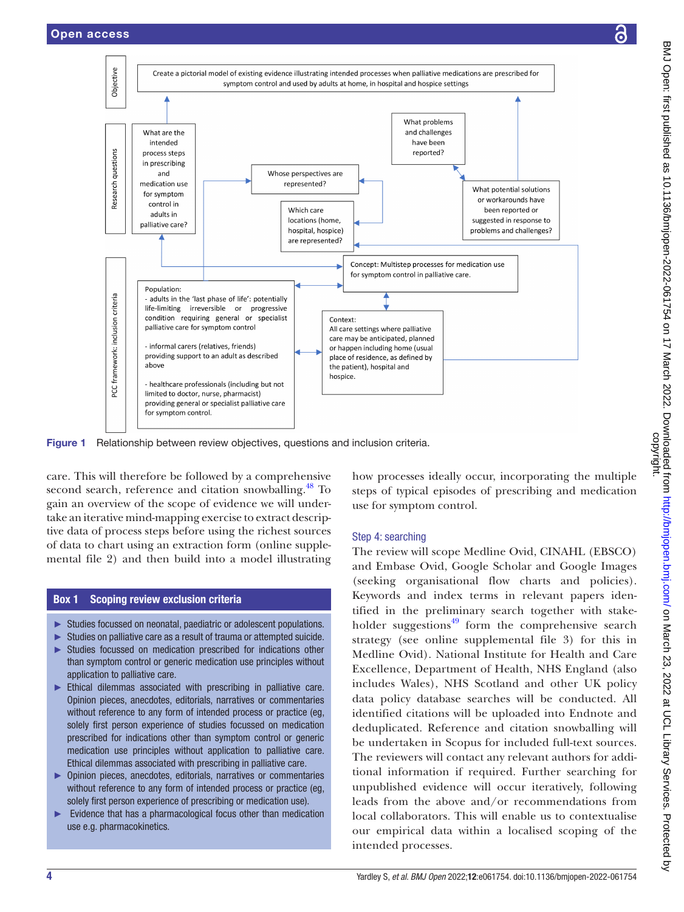

<span id="page-3-0"></span>Figure 1 Relationship between review objectives, questions and inclusion criteria.

care. This will therefore be followed by a comprehensive second search, reference and citation snowballing.<sup>48</sup> To gain an overview of the scope of evidence we will undertake an iterative mind-mapping exercise to extract descriptive data of process steps before using the richest sources of data to chart using an extraction form [\(online supple](https://dx.doi.org/10.1136/bmjopen-2022-061754)[mental file 2](https://dx.doi.org/10.1136/bmjopen-2022-061754)) and then build into a model illustrating

## Box 1 Scoping review exclusion criteria

- <span id="page-3-1"></span>► Studies focussed on neonatal, paediatric or adolescent populations.
- ► Studies on palliative care as a result of trauma or attempted suicide.
- ► Studies focussed on medication prescribed for indications other than symptom control or generic medication use principles without application to palliative care.
- ► Ethical dilemmas associated with prescribing in palliative care. Opinion pieces, anecdotes, editorials, narratives or commentaries without reference to any form of intended process or practice (eg, solely first person experience of studies focussed on medication prescribed for indications other than symptom control or generic medication use principles without application to palliative care. Ethical dilemmas associated with prescribing in palliative care.
- ► Opinion pieces, anecdotes, editorials, narratives or commentaries without reference to any form of intended process or practice (eg, solely first person experience of prescribing or medication use).
- Evidence that has a pharmacological focus other than medication use e.g. pharmacokinetics.

how processes ideally occur, incorporating the multiple steps of typical episodes of prescribing and medication use for symptom control.

#### Step 4: searching

The review will scope Medline Ovid, CINAHL (EBSCO) and Embase Ovid, Google Scholar and Google Images (seeking organisational flow charts and policies). Keywords and index terms in relevant papers identified in the preliminary search together with stakeholder suggestions $49$  form the comprehensive search strategy (see [online supplemental file 3\)](https://dx.doi.org/10.1136/bmjopen-2022-061754) for this in Medline Ovid). National Institute for Health and Care Excellence, Department of Health, NHS England (also includes Wales), NHS Scotland and other UK policy data policy database searches will be conducted. All identified citations will be uploaded into Endnote and deduplicated. Reference and citation snowballing will be undertaken in Scopus for included full-text sources. The reviewers will contact any relevant authors for additional information if required. Further searching for unpublished evidence will occur iteratively, following leads from the above and/or recommendations from local collaborators. This will enable us to contextualise our empirical data within a localised scoping of the intended processes.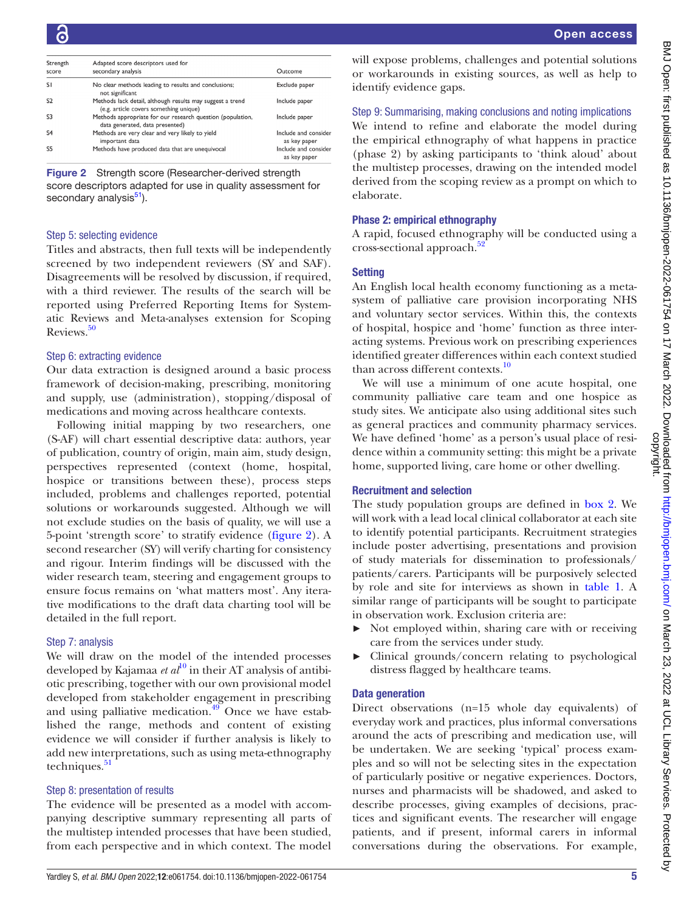| Strength<br>score | Adapted score descriptors used for<br>secondary analysis                                            | Outcome                             |
|-------------------|-----------------------------------------------------------------------------------------------------|-------------------------------------|
| SI.               | No clear methods leading to results and conclusions;<br>not significant                             | Exclude paper                       |
| S <sub>2</sub>    | Methods lack detail, although results may suggest a trend<br>(e.g. article covers something unique) | Include paper                       |
| S <sub>3</sub>    | Methods appropriate for our research question (population,<br>data generated, data presented)       | Include paper                       |
| S <sub>4</sub>    | Methods are very clear and very likely to yield<br>important data                                   | Include and conside<br>as key paper |
| S <sub>5</sub>    | Methods have produced data that are unequivocal                                                     | Include and conside<br>as key paper |

<span id="page-4-0"></span>Figure 2 Strength score (Researcher-derived strength score descriptors adapted for use in quality assessment for secondary analysis<sup>51</sup>).

#### Step 5: selecting evidence

Titles and abstracts, then full texts will be independently screened by two independent reviewers (SY and SAF). Disagreements will be resolved by discussion, if required, with a third reviewer. The results of the search will be reported using Preferred Reporting Items for Systematic Reviews and Meta-analyses extension for Scoping Reviews.<sup>[50](#page-7-20)</sup>

#### Step 6: extracting evidence

Our data extraction is designed around a basic process framework of decision-making, prescribing, monitoring and supply, use (administration), stopping/disposal of medications and moving across healthcare contexts.

Following initial mapping by two researchers, one (S-AF) will chart essential descriptive data: authors, year of publication, country of origin, main aim, study design, perspectives represented (context (home, hospital, hospice or transitions between these), process steps included, problems and challenges reported, potential solutions or workarounds suggested. Although we will not exclude studies on the basis of quality, we will use a 5-point 'strength score' to stratify evidence ([figure](#page-4-0) 2). A second researcher (SY) will verify charting for consistency and rigour. Interim findings will be discussed with the wider research team, steering and engagement groups to ensure focus remains on 'what matters most'. Any iterative modifications to the draft data charting tool will be detailed in the full report.

#### Step 7: analysis

We will draw on the model of the intended processes developed by Kajamaa *et al*<sup>10</sup> in their AT analysis of antibiotic prescribing, together with our own provisional model developed from stakeholder engagement in prescribing and using palliative medication.<sup>[49](#page-7-19)</sup> Once we have established the range, methods and content of existing evidence we will consider if further analysis is likely to add new interpretations, such as using meta-ethnography techniques. $51$ 

#### Step 8: presentation of results

The evidence will be presented as a model with accompanying descriptive summary representing all parts of the multistep intended processes that have been studied, from each perspective and in which context. The model

will expose problems, challenges and potential solutions or workarounds in existing sources, as well as help to identify evidence gaps.

#### Step 9: Summarising, making conclusions and noting implications

We intend to refine and elaborate the model during the empirical ethnography of what happens in practice (phase 2) by asking participants to 'think aloud' about the multistep processes, drawing on the intended model derived from the scoping review as a prompt on which to elaborate.

#### Phase 2: empirical ethnography

A rapid, focused ethnography will be conducted using a cross-sectional approach.<sup>[52](#page-7-22)</sup>

#### **Setting**

An English local health economy functioning as a metasystem of palliative care provision incorporating NHS and voluntary sector services. Within this, the contexts of hospital, hospice and 'home' function as three interacting systems. Previous work on prescribing experiences identified greater differences within each context studied than across different contexts[.10](#page-7-1)

We will use a minimum of one acute hospital, one community palliative care team and one hospice as study sites. We anticipate also using additional sites such as general practices and community pharmacy services. We have defined 'home' as a person's usual place of residence within a community setting: this might be a private home, supported living, care home or other dwelling.

#### Recruitment and selection

The study population groups are defined in [box](#page-5-0) 2. We will work with a lead local clinical collaborator at each site to identify potential participants. Recruitment strategies include poster advertising, presentations and provision of study materials for dissemination to professionals/ patients/carers. Participants will be purposively selected by role and site for interviews as shown in [table](#page-5-1) 1. A similar range of participants will be sought to participate in observation work. Exclusion criteria are:

- ► Not employed within, sharing care with or receiving care from the services under study.
- ► Clinical grounds/concern relating to psychological distress flagged by healthcare teams.

#### Data generation

Direct observations (n=15 whole day equivalents) of everyday work and practices, plus informal conversations around the acts of prescribing and medication use, will be undertaken. We are seeking 'typical' process examples and so will not be selecting sites in the expectation of particularly positive or negative experiences. Doctors, nurses and pharmacists will be shadowed, and asked to describe processes, giving examples of decisions, practices and significant events. The researcher will engage patients, and if present, informal carers in informal conversations during the observations. For example,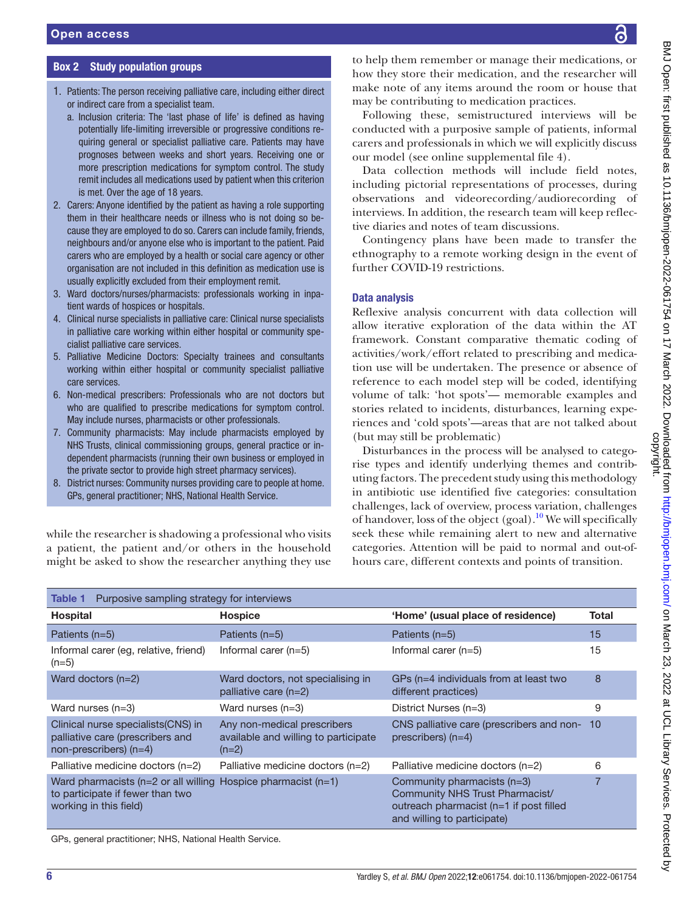## Box 2 Study population groups

- <span id="page-5-0"></span>1. Patients: The person receiving palliative care, including either direct or indirect care from a specialist team.
	- a. Inclusion criteria: The 'last phase of life' is defined as having potentially life-limiting irreversible or progressive conditions requiring general or specialist palliative care. Patients may have prognoses between weeks and short years. Receiving one or more prescription medications for symptom control. The study remit includes all medications used by patient when this criterion is met. Over the age of 18 years.
- 2. Carers: Anyone identified by the patient as having a role supporting them in their healthcare needs or illness who is not doing so because they are employed to do so. Carers can include family, friends, neighbours and/or anyone else who is important to the patient. Paid carers who are employed by a health or social care agency or other organisation are not included in this definition as medication use is usually explicitly excluded from their employment remit.
- 3. Ward doctors/nurses/pharmacists: professionals working in inpatient wards of hospices or hospitals.
- 4. Clinical nurse specialists in palliative care: Clinical nurse specialists in palliative care working within either hospital or community specialist palliative care services.
- 5. Palliative Medicine Doctors: Specialty trainees and consultants working within either hospital or community specialist palliative care services.
- 6. Non-medical prescribers: Professionals who are not doctors but who are qualified to prescribe medications for symptom control. May include nurses, pharmacists or other professionals.
- 7. Community pharmacists: May include pharmacists employed by NHS Trusts, clinical commissioning groups, general practice or independent pharmacists (running their own business or employed in the private sector to provide high street pharmacy services).
- 8. District nurses: Community nurses providing care to people at home. GPs, general practitioner; NHS, National Health Service.

while the researcher is shadowing a professional who visits a patient, the patient and/or others in the household might be asked to show the researcher anything they use to help them remember or manage their medications, or how they store their medication, and the researcher will make note of any items around the room or house that may be contributing to medication practices.

Following these, semistructured interviews will be conducted with a purposive sample of patients, informal carers and professionals in which we will explicitly discuss our model (see [online supplemental file 4](https://dx.doi.org/10.1136/bmjopen-2022-061754)).

Data collection methods will include field notes, including pictorial representations of processes, during observations and videorecording/audiorecording of interviews. In addition, the research team will keep reflective diaries and notes of team discussions.

Contingency plans have been made to transfer the ethnography to a remote working design in the event of further COVID-19 restrictions.

#### Data analysis

Reflexive analysis concurrent with data collection will allow iterative exploration of the data within the AT framework. Constant comparative thematic coding of activities/work/effort related to prescribing and medication use will be undertaken. The presence or absence of reference to each model step will be coded, identifying volume of talk: 'hot spots'— memorable examples and stories related to incidents, disturbances, learning experiences and 'cold spots'—areas that are not talked about (but may still be problematic)

Disturbances in the process will be analysed to categorise types and identify underlying themes and contributing factors. The precedent study using this methodology in antibiotic use identified five categories: consultation challenges, lack of overview, process variation, challenges of handover, loss of the object (goal).<sup>[10](#page-7-1)</sup> We will specifically seek these while remaining alert to new and alternative categories. Attention will be paid to normal and out-ofhours care, different contexts and points of transition.

<span id="page-5-1"></span>

| Purposive sampling strategy for interviews<br><b>Table 1</b>                                                                       |                                                                                |                                                                                                                                          |              |  |  |  |
|------------------------------------------------------------------------------------------------------------------------------------|--------------------------------------------------------------------------------|------------------------------------------------------------------------------------------------------------------------------------------|--------------|--|--|--|
| <b>Hospital</b>                                                                                                                    | <b>Hospice</b>                                                                 | 'Home' (usual place of residence)                                                                                                        | <b>Total</b> |  |  |  |
| Patients (n=5)                                                                                                                     | Patients $(n=5)$                                                               | Patients (n=5)                                                                                                                           | 15           |  |  |  |
| Informal carer (eg, relative, friend)<br>$(n=5)$                                                                                   | Informal carer $(n=5)$                                                         | Informal carer $(n=5)$                                                                                                                   | 15           |  |  |  |
| Ward doctors $(n=2)$                                                                                                               | Ward doctors, not specialising in<br>palliative care $(n=2)$                   | GPs (n=4 individuals from at least two<br>different practices)                                                                           | 8            |  |  |  |
| Ward nurses $(n=3)$                                                                                                                | Ward nurses $(n=3)$                                                            | District Nurses (n=3)                                                                                                                    | 9            |  |  |  |
| Clinical nurse specialists (CNS) in<br>palliative care (prescribers and<br>$non-prescribes$ ) ( $n=4$ )                            | Any non-medical prescribers<br>available and willing to participate<br>$(n=2)$ | CNS palliative care (prescribers and non-10<br>prescribers) $(n=4)$                                                                      |              |  |  |  |
| Palliative medicine doctors (n=2)                                                                                                  | Palliative medicine doctors (n=2)                                              | Palliative medicine doctors (n=2)                                                                                                        | 6            |  |  |  |
| Ward pharmacists ( $n=2$ or all willing Hospice pharmacist ( $n=1$ )<br>to participate if fewer than two<br>working in this field) |                                                                                | Community pharmacists (n=3)<br>Community NHS Trust Pharmacist/<br>outreach pharmacist (n=1 if post filled<br>and willing to participate) | 7            |  |  |  |
| GPs, general practitioner; NHS, National Health Service.                                                                           |                                                                                |                                                                                                                                          |              |  |  |  |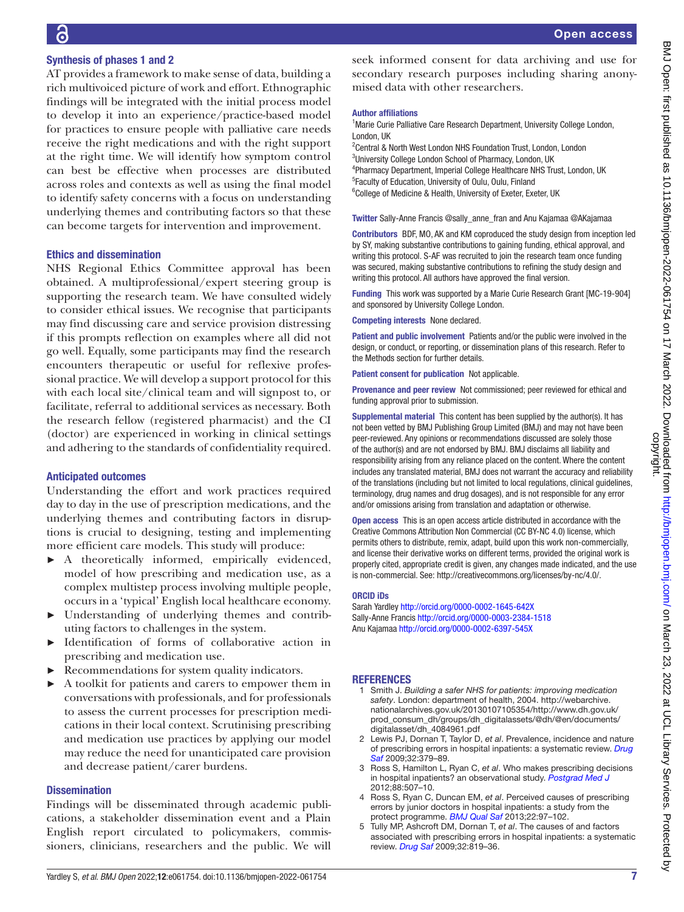## Synthesis of phases 1 and 2

AT provides a framework to make sense of data, building a rich multivoiced picture of work and effort. Ethnographic findings will be integrated with the initial process model to develop it into an experience/practice-based model for practices to ensure people with palliative care needs receive the right medications and with the right support at the right time. We will identify how symptom control can best be effective when processes are distributed across roles and contexts as well as using the final model to identify safety concerns with a focus on understanding underlying themes and contributing factors so that these can become targets for intervention and improvement.

#### Ethics and dissemination

NHS Regional Ethics Committee approval has been obtained. A multiprofessional/expert steering group is supporting the research team. We have consulted widely to consider ethical issues. We recognise that participants may find discussing care and service provision distressing if this prompts reflection on examples where all did not go well. Equally, some participants may find the research encounters therapeutic or useful for reflexive professional practice. We will develop a support protocol for this with each local site/clinical team and will signpost to, or facilitate, referral to additional services as necessary. Both the research fellow (registered pharmacist) and the CI (doctor) are experienced in working in clinical settings and adhering to the standards of confidentiality required.

#### Anticipated outcomes

Understanding the effort and work practices required day to day in the use of prescription medications, and the underlying themes and contributing factors in disruptions is crucial to designing, testing and implementing more efficient care models. This study will produce:

- ► A theoretically informed, empirically evidenced, model of how prescribing and medication use, as a complex multistep process involving multiple people, occurs in a 'typical' English local healthcare economy.
- ► Understanding of underlying themes and contributing factors to challenges in the system.
- Identification of forms of collaborative action in prescribing and medication use.
- Recommendations for system quality indicators.
- ► A toolkit for patients and carers to empower them in conversations with professionals, and for professionals to assess the current processes for prescription medications in their local context. Scrutinising prescribing and medication use practices by applying our model may reduce the need for unanticipated care provision and decrease patient/carer burdens.

#### **Dissemination**

Findings will be disseminated through academic publications, a stakeholder dissemination event and a Plain English report circulated to policymakers, commissioners, clinicians, researchers and the public. We will

seek informed consent for data archiving and use for secondary research purposes including sharing anonymised data with other researchers.

#### Author affiliations

<sup>1</sup> Marie Curie Palliative Care Research Department, University College London, London, UK

2 Central & North West London NHS Foundation Trust, London, London <sup>3</sup>University College London School of Pharmacy, London, UK 4 Pharmacy Department, Imperial College Healthcare NHS Trust, London, UK 5 Faculty of Education, University of Oulu, Oulu, Finland <sup>6</sup>College of Medicine & Health, University of Exeter, Exeter, UK

Twitter Sally-Anne Francis [@sally\\_anne\\_fran](https://twitter.com/sally_anne_fran) and Anu Kajamaa [@AKajamaa](https://twitter.com/AKajamaa)

Contributors BDF, MO, AK and KM coproduced the study design from inception led by SY, making substantive contributions to gaining funding, ethical approval, and writing this protocol. S-AF was recruited to join the research team once funding was secured, making substantive contributions to refining the study design and writing this protocol. All authors have approved the final version.

Funding This work was supported by a Marie Curie Research Grant [MC-19-904] and sponsored by University College London.

Competing interests None declared.

Patient and public involvement Patients and/or the public were involved in the design, or conduct, or reporting, or dissemination plans of this research. Refer to the Methods section for further details.

Patient consent for publication Not applicable.

Provenance and peer review Not commissioned; peer reviewed for ethical and funding approval prior to submission.

Supplemental material This content has been supplied by the author(s). It has not been vetted by BMJ Publishing Group Limited (BMJ) and may not have been peer-reviewed. Any opinions or recommendations discussed are solely those of the author(s) and are not endorsed by BMJ. BMJ disclaims all liability and responsibility arising from any reliance placed on the content. Where the content includes any translated material, BMJ does not warrant the accuracy and reliability of the translations (including but not limited to local regulations, clinical guidelines, terminology, drug names and drug dosages), and is not responsible for any error and/or omissions arising from translation and adaptation or otherwise.

Open access This is an open access article distributed in accordance with the Creative Commons Attribution Non Commercial (CC BY-NC 4.0) license, which permits others to distribute, remix, adapt, build upon this work non-commercially, and license their derivative works on different terms, provided the original work is properly cited, appropriate credit is given, any changes made indicated, and the use is non-commercial. See: [http://creativecommons.org/licenses/by-nc/4.0/.](http://creativecommons.org/licenses/by-nc/4.0/)

#### ORCID iDs

Sarah Yardley<http://orcid.org/0000-0002-1645-642X> Sally-Anne Francis <http://orcid.org/0000-0003-2384-1518> Anu Kajamaa <http://orcid.org/0000-0002-6397-545X>

#### <span id="page-6-0"></span>REFERENCES

- 1 Smith J. *Building a safer NHS for patients: improving medication safety*. London: department of health, 2004. [http://webarchive.](http://webarchive.nationalarchives.gov.uk/20130107105354/http://www.dh.gov.uk/prod_consum_dh/groups/dh_digitalassets/@dh/@en/documents/digitalasset/dh_4084961.pdf) [nationalarchives.gov.uk/20130107105354/http://www.dh.gov.uk/](http://webarchive.nationalarchives.gov.uk/20130107105354/http://www.dh.gov.uk/prod_consum_dh/groups/dh_digitalassets/@dh/@en/documents/digitalasset/dh_4084961.pdf) [prod\\_consum\\_dh/groups/dh\\_digitalassets/@dh/@en/documents/](http://webarchive.nationalarchives.gov.uk/20130107105354/http://www.dh.gov.uk/prod_consum_dh/groups/dh_digitalassets/@dh/@en/documents/digitalasset/dh_4084961.pdf) [digitalasset/dh\\_4084961.pdf](http://webarchive.nationalarchives.gov.uk/20130107105354/http://www.dh.gov.uk/prod_consum_dh/groups/dh_digitalassets/@dh/@en/documents/digitalasset/dh_4084961.pdf)
- 2 Lewis PJ, Dornan T, Taylor D, *et al*. Prevalence, incidence and nature of prescribing errors in hospital inpatients: a systematic review. *[Drug](http://dx.doi.org/10.2165/00002018-200932050-00002)  [Saf](http://dx.doi.org/10.2165/00002018-200932050-00002)* 2009;32:379–89.
- 3 Ross S, Hamilton L, Ryan C, *et al*. Who makes prescribing decisions in hospital inpatients? an observational study. *[Postgrad Med J](http://dx.doi.org/10.1136/postgradmedj-2011-130602)* 2012;88:507–10.
- 4 Ross S, Ryan C, Duncan EM, *et al*. Perceived causes of prescribing errors by junior doctors in hospital inpatients: a study from the protect programme. *[BMJ Qual Saf](http://dx.doi.org/10.1136/bmjqs-2012-001175)* 2013;22:97–102.
- 5 Tully MP, Ashcroft DM, Dornan T, *et al*. The causes of and factors associated with prescribing errors in hospital inpatients: a systematic review. *[Drug Saf](http://dx.doi.org/10.2165/11316560-000000000-00000)* 2009;32:819–36.

्र

BMJ Open: first published as 10.1136/bmjopen-2022-061754 on 17 March 2022. Downloaded from http://bmjopen.bmj.com/ on March 23, 2022 at UCL Library Services. Protected<br>copyright. BMJ Open: first published as 10.1136/bmjopen-2022-061754 on 17 March 2022. Downloaded from <http://bmjopen.bmj.com/> Bm March 23, 2022 at UCL Library Services. Protected by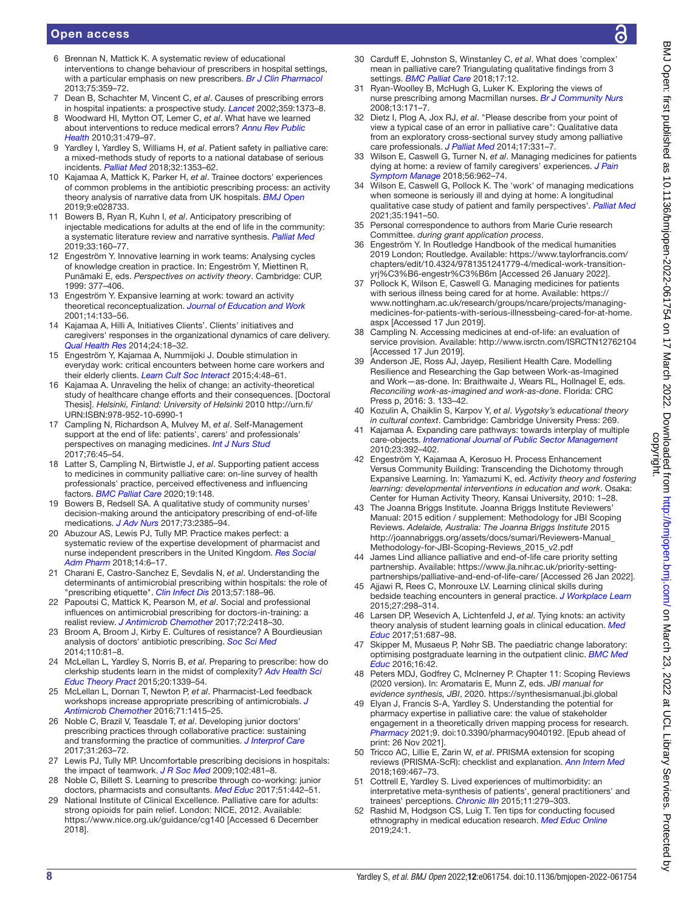## Open access

- 6 Brennan N, Mattick K. A systematic review of educational interventions to change behaviour of prescribers in hospital settings, with a particular emphasis on new prescribers. *[Br J Clin Pharmacol](http://dx.doi.org/10.1111/j.1365-2125.2012.04397.x)* 2013;75:359–72.
- 7 Dean B, Schachter M, Vincent C, *et al*. Causes of prescribing errors in hospital inpatients: a prospective study. *[Lancet](http://dx.doi.org/10.1016/S0140-6736(02)08350-2)* 2002;359:1373–8.
- 8 Woodward HI, Mytton OT, Lemer C, *et al*. What have we learned about interventions to reduce medical errors? *[Annu Rev Public](http://dx.doi.org/10.1146/annurev.publhealth.012809.103544)  [Health](http://dx.doi.org/10.1146/annurev.publhealth.012809.103544)* 2010;31:479–97.
- <span id="page-7-0"></span>9 Yardley I, Yardley S, Williams H, *et al*. Patient safety in palliative care: a mixed-methods study of reports to a national database of serious incidents. *[Palliat Med](http://dx.doi.org/10.1177/0269216318776846)* 2018;32:1353–62.
- <span id="page-7-1"></span>10 Kajamaa A, Mattick K, Parker H, *et al*. Trainee doctors' experiences of common problems in the antibiotic prescribing process: an activity theory analysis of narrative data from UK hospitals. *[BMJ Open](http://dx.doi.org/10.1136/bmjopen-2018-028733)* 2019;9:e028733.
- <span id="page-7-2"></span>11 Bowers B, Ryan R, Kuhn I, *et al*. Anticipatory prescribing of injectable medications for adults at the end of life in the community: a systematic literature review and narrative synthesis. *[Palliat Med](http://dx.doi.org/10.1177/0269216318815796)* 2019;33:160–77.
- <span id="page-7-3"></span>12 Engeström Y. Innovative learning in work teams: Analysing cycles of knowledge creation in practice. In: Engeström Y, Miettinen R, Punämaki E, eds. *Perspectives on activity theory*. Cambridge: CUP, 1999: 377–406.
- 13 Engeström Y. Expansive learning at work: toward an activity theoretical reconceptualization. *[Journal of Education and Work](http://dx.doi.org/10.1080/13639080020028747)* 2001;14:133–56.
- <span id="page-7-8"></span>14 Kajamaa A, Hilli A, Initiatives Clients'. Clients' initiatives and caregivers' responses in the organizational dynamics of care delivery. *[Qual Health Res](http://dx.doi.org/10.1177/1049732313514138)* 2014;24:18–32.
- 15 Engeström Y, Kajamaa A, Nummijoki J. Double stimulation in everyday work: critical encounters between home care workers and their elderly clients. *[Learn Cult Soc Interact](http://dx.doi.org/10.1016/j.lcsi.2014.07.005)* 2015;4:48–61.
- 16 Kajamaa A. Unraveling the helix of change: an activity-theoretical study of healthcare change efforts and their consequences. [Doctoral Thesis]. *Helsinki, Finland: University of Helsinki* 2010 [http://urn.fi/](http://urn.fi/URN:ISBN:978-952-10-6990-1) [URN:ISBN:978-952-10-6990-1](http://urn.fi/URN:ISBN:978-952-10-6990-1)
- <span id="page-7-4"></span>17 Campling N, Richardson A, Mulvey M, *et al*. Self-Management support at the end of life: patients', carers' and professionals' perspectives on managing medicines. *[Int J Nurs Stud](http://dx.doi.org/10.1016/j.ijnurstu.2017.08.019)* 2017;76:45–54.
- 18 Latter S, Campling N, Birtwistle J, *et al*. Supporting patient access to medicines in community palliative care: on-line survey of health professionals' practice, perceived effectiveness and influencing factors. *[BMC Palliat Care](http://dx.doi.org/10.1186/s12904-020-00649-3)* 2020;19:148.
- 19 Bowers B, Redsell SA. A qualitative study of community nurses' decision-making around the anticipatory prescribing of end-of-life medications. *[J Adv Nurs](http://dx.doi.org/10.1111/jan.13319)* 2017;73:2385–94.
- 20 Abuzour AS, Lewis PJ, Tully MP. Practice makes perfect: a systematic review of the expertise development of pharmacist and nurse independent prescribers in the United Kingdom. *[Res Social](http://dx.doi.org/10.1016/j.sapharm.2017.02.002)  [Adm Pharm](http://dx.doi.org/10.1016/j.sapharm.2017.02.002)* 2018;14:6–17.
- 21 Charani E, Castro-Sanchez E, Sevdalis N, *et al*. Understanding the determinants of antimicrobial prescribing within hospitals: the role of "prescribing etiquette". *[Clin Infect Dis](http://dx.doi.org/10.1093/cid/cit212)* 2013;57:188–96.
- 22 Papoutsi C, Mattick K, Pearson M, *et al*. Social and professional influences on antimicrobial prescribing for doctors-in-training: a realist review. *[J Antimicrob Chemother](http://dx.doi.org/10.1093/jac/dkx194)* 2017;72:2418–30.
- 23 Broom A, Broom J, Kirby E. Cultures of resistance? A Bourdieusian analysis of doctors' antibiotic prescribing. *[Soc Sci Med](http://dx.doi.org/10.1016/j.socscimed.2014.03.030)* 2014;110:81–8.
- 24 McLellan L, Yardley S, Norris B, *et al*. Preparing to prescribe: how do clerkship students learn in the midst of complexity? *[Adv Health Sci](http://dx.doi.org/10.1007/s10459-015-9606-0)  [Educ Theory Pract](http://dx.doi.org/10.1007/s10459-015-9606-0)* 2015;20:1339–54.
- 25 McLellan L, Dornan T, Newton P, *et al*. Pharmacist-Led feedback workshops increase appropriate prescribing of antimicrobials. *[J](http://dx.doi.org/10.1093/jac/dkv482)  [Antimicrob Chemother](http://dx.doi.org/10.1093/jac/dkv482)* 2016;71:1415–25.
- 26 Noble C, Brazil V, Teasdale T, *et al*. Developing junior doctors' prescribing practices through collaborative practice: sustaining and transforming the practice of communities. *[J Interprof Care](http://dx.doi.org/10.1080/13561820.2016.1254164)* 2017;31:263–72.
- 27 Lewis PJ, Tully MP. Uncomfortable prescribing decisions in hospitals: the impact of teamwork. *[J R Soc Med](http://dx.doi.org/10.1258/jrsm.2009.090150)* 2009;102:481–8.
- 28 Noble C, Billett S. Learning to prescribe through co-working: junior doctors, pharmacists and consultants. *[Med Educ](http://dx.doi.org/10.1111/medu.13227)* 2017;51:442–51.
- <span id="page-7-5"></span>29 National Institute of Clinical Excellence. Palliative care for adults: strong opioids for pain relief. London: NICE, 2012. Available: <https://www.nice.org.uk/guidance/cg140>[Accessed 6 December 2018].
- <span id="page-7-6"></span>30 Carduff E, Johnston S, Winstanley C, *et al*. What does 'complex' mean in palliative care? Triangulating qualitative findings from 3 settings. *[BMC Palliat Care](http://dx.doi.org/10.1186/s12904-017-0259-z)* 2018;17:12.
- 31 Ryan-Woolley B, McHugh G, Luker K. Exploring the views of nurse prescribing among Macmillan nurses. *[Br J Community Nurs](http://dx.doi.org/10.12968/bjcn.2008.13.4.29026)* 2008;13:171–7.
- 32 Dietz I, Plog A, Jox RJ, *et al*. "Please describe from your point of view a typical case of an error in palliative care": Qualitative data from an exploratory cross-sectional survey study among palliative care professionals. *[J Palliat Med](http://dx.doi.org/10.1089/jpm.2013.0356)* 2014;17:331–7.
- <span id="page-7-7"></span>33 Wilson E, Caswell G, Turner N, *et al*. Managing medicines for patients dying at home: a review of family caregivers' experiences. *[J Pain](http://dx.doi.org/10.1016/j.jpainsymman.2018.08.019)  [Symptom Manage](http://dx.doi.org/10.1016/j.jpainsymman.2018.08.019)* 2018;56:962–74.
- 34 Wilson E, Caswell G, Pollock K. The 'work' of managing medications when someone is seriously ill and dying at home: A longitudinal qualitative case study of patient and family perspectives'. *[Palliat Med](http://dx.doi.org/10.1177/02692163211030113)* 2021;35:1941–50.
- <span id="page-7-9"></span>35 Personal correspondence to authors from Marie Curie research Committee. *during grant application process*.
- <span id="page-7-10"></span>36 Engeström Y. In Routledge Handbook of the medical humanities 2019 London; Routledge. Available: [https://www.taylorfrancis.com/](https://www.taylorfrancis.com/chapters/edit/10.4324/9781351241779-4/medical-work-transition-yrj%C3%B6-engestr%C3%B6m) [chapters/edit/10.4324/9781351241779-4/medical-work-transition](https://www.taylorfrancis.com/chapters/edit/10.4324/9781351241779-4/medical-work-transition-yrj%C3%B6-engestr%C3%B6m)[yrj%C3%B6-engestr%C3%B6m](https://www.taylorfrancis.com/chapters/edit/10.4324/9781351241779-4/medical-work-transition-yrj%C3%B6-engestr%C3%B6m) [Accessed 26 January 2022].
- <span id="page-7-11"></span>37 Pollock K, Wilson E, Caswell G. Managing medicines for patients with serious illness being cared for at home. Available: [https://](https://www.nottingham.ac.uk/research/groups/ncare/projects/managing-medicines-for-patients-with-serious-illnessbeing-cared-for-at-home.aspx) [www.nottingham.ac.uk/research/groups/ncare/projects/managing](https://www.nottingham.ac.uk/research/groups/ncare/projects/managing-medicines-for-patients-with-serious-illnessbeing-cared-for-at-home.aspx)[medicines-for-patients-with-serious-illnessbeing-cared-for-at-home.](https://www.nottingham.ac.uk/research/groups/ncare/projects/managing-medicines-for-patients-with-serious-illnessbeing-cared-for-at-home.aspx) [aspx](https://www.nottingham.ac.uk/research/groups/ncare/projects/managing-medicines-for-patients-with-serious-illnessbeing-cared-for-at-home.aspx) [Accessed 17 Jun 2019].
- 38 Campling N. Accessing medicines at end-of-life: an evaluation of service provision. Available:<http://www.isrctn.com/ISRCTN12762104> [Accessed 17 Jun 2019].
- <span id="page-7-12"></span>39 Anderson JE, Ross AJ, Jayep, Resilient Health Care. Modelling Resilience and Researching the Gap between Work-as-Imagined and Work—as-done. In: Braithwaite J, Wears RL, Hollnagel E, eds. *Reconciling work-as-imagined and work-as-done*. Florida: CRC Press p, 2016: 3. 133–42.
- <span id="page-7-13"></span>40 Kozulin A, Chaiklin S, Karpov Y, *et al*. *Vygotsky's educational theory in cultural context*. Cambridge: Cambridge University Press: 269.
- <span id="page-7-14"></span>41 Kajamaa A. Expanding care pathways: towards interplay of multiple care‐objects. *[International Journal of Public Sector Management](http://dx.doi.org/10.1108/09513551011047288)* 2010;23:392–402.
- <span id="page-7-15"></span>42 Engeström Y, Kajamaa A, Kerosuo H. Process Enhancement Versus Community Building: Transcending the Dichotomy through Expansive Learning. In: Yamazumi K, ed. *Activity theory and fostering learning: developmental interventions in education and work*. Osaka: Center for Human Activity Theory, Kansai University, 2010: 1–28.
- 43 The Joanna Briggs Institute. Joanna Briggs Institute Reviewers' Manual: 2015 edition / supplement: Methodology for JBI Scoping Reviews. *Adelaide, Australia: The Joanna Briggs Institute* 2015 [http://joannabriggs.org/assets/docs/sumari/Reviewers-Manual\\_](http://joannabriggs.org/assets/docs/sumari/Reviewers-Manual_Methodology-for-JBI-Scoping-Reviews_2015_v2.pdf) [Methodology-for-JBI-Scoping-Reviews\\_2015\\_v2.pdf](http://joannabriggs.org/assets/docs/sumari/Reviewers-Manual_Methodology-for-JBI-Scoping-Reviews_2015_v2.pdf)
- <span id="page-7-16"></span>44 James Lind alliance palliative and end-of-life care priority setting partnership. Available: [https://www.jla.nihr.ac.uk/priority-setting](https://www.jla.nihr.ac.uk/priority-setting-partnerships/palliative-and-end-of-life-care/)[partnerships/palliative-and-end-of-life-care/](https://www.jla.nihr.ac.uk/priority-setting-partnerships/palliative-and-end-of-life-care/) [Accessed 26 Jan 2022].
- <span id="page-7-17"></span>45 Ajjawi R, Rees C, Monrouxe LV. Learning clinical skills during bedside teaching encounters in general practice. *[J Workplace Learn](http://dx.doi.org/10.1108/JWL-05-2014-0035)* 2015;27:298–314.
- 46 Larsen DP, Wesevich A, Lichtenfeld J, *et al*. Tying knots: an activity theory analysis of student learning goals in clinical education. *[Med](http://dx.doi.org/10.1111/medu.13295)  [Educ](http://dx.doi.org/10.1111/medu.13295)* 2017;51:687–98.
- 47 Skipper M, Musaeus P, Nøhr SB. The paediatric change laboratory: optimising postgraduate learning in the outpatient clinic. *[BMC Med](http://dx.doi.org/10.1186/s12909-016-0563-y)  [Educ](http://dx.doi.org/10.1186/s12909-016-0563-y)* 2016;16:42.
- <span id="page-7-18"></span>48 Peters MDJ, Godfrey C, McInerney P. Chapter 11: Scoping Reviews (2020 version). In: Aromataris E, Munn Z, eds. *JBI manual for evidence synthesis, JBI*, 2020. <https://synthesismanual.jbi.global>
- <span id="page-7-19"></span>49 Elyan J, Francis S-A, Yardley S. Understanding the potential for pharmacy expertise in palliative care: the value of stakeholder engagement in a theoretically driven mapping process for research. *[Pharmacy](http://dx.doi.org/10.3390/pharmacy9040192)* 2021;9. doi:10.3390/pharmacy9040192. [Epub ahead of print: 26 Nov 2021].
- <span id="page-7-20"></span>50 Tricco AC, Lillie E, Zarin W, *et al*. PRISMA extension for scoping reviews (PRISMA-ScR): checklist and explanation. *[Ann Intern Med](http://dx.doi.org/10.7326/M18-0850)* 2018;169:467–73.
- <span id="page-7-21"></span>51 Cottrell E, Yardley S. Lived experiences of multimorbidity: an interpretative meta-synthesis of patients', general practitioners' and trainees' perceptions. *[Chronic Illn](http://dx.doi.org/10.1177/1742395315574764)* 2015;11:279–303.
- <span id="page-7-22"></span>Rashid M, Hodgson CS, Luig T. Ten tips for conducting focused ethnography in medical education research. *[Med Educ Online](http://dx.doi.org/10.1080/10872981.2019.1624133)* 2019;24:1.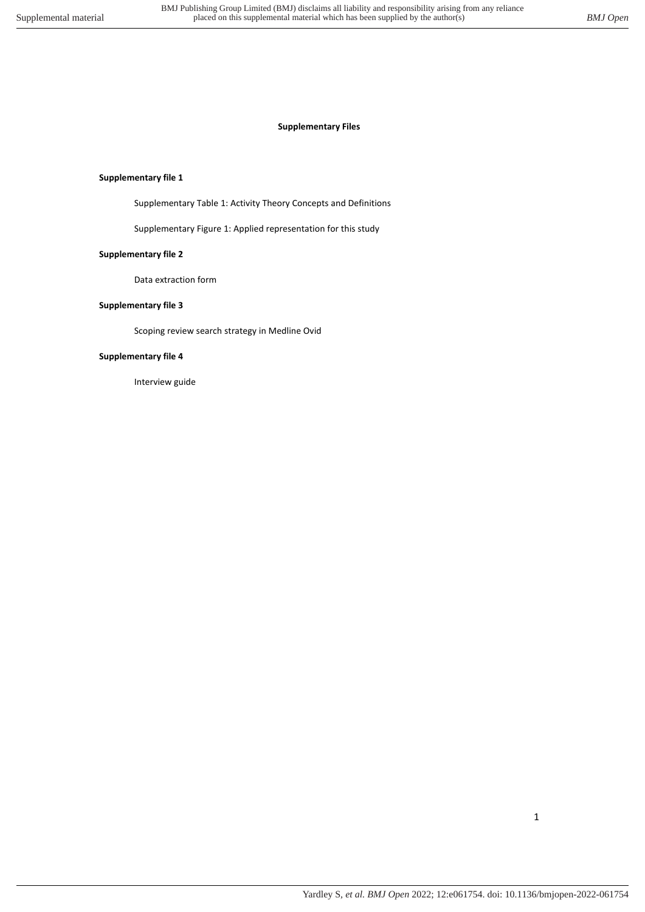## **Supplementary file 1**

Supplementary Table 1: Activity Theory Concepts and Definitions

Supplementary Figure 1: Applied representation for this study

## **Supplementary file 2**

Data extraction form

## **Supplementary file 3**

Scoping review search strategy in Medline Ovid

## **Supplementary file 4**

Interview guide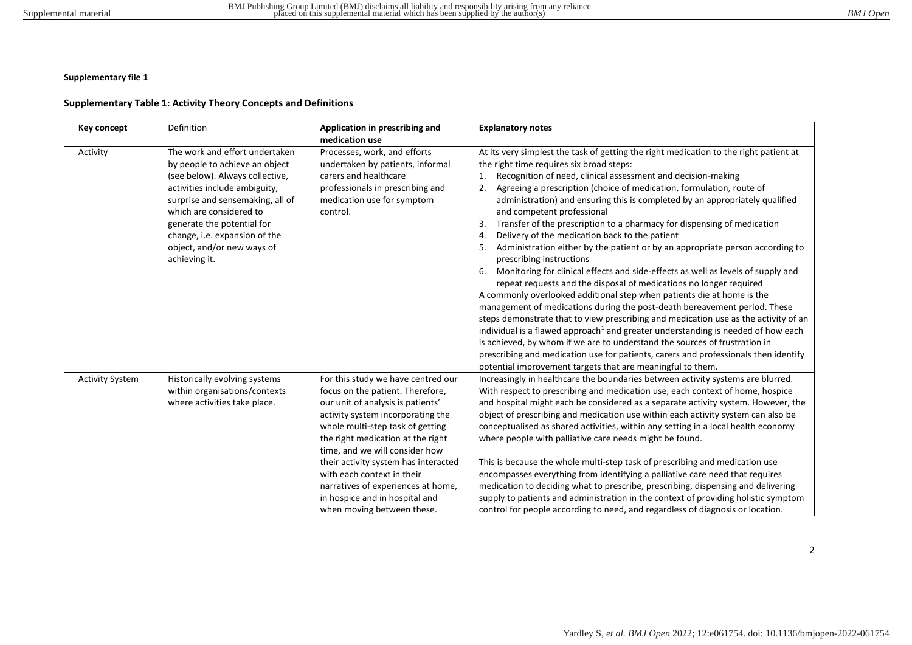## **Supplementary Table 1: Activity Theory Concepts and Definitions**

| Key concept            | Definition                                                                                                                                                                                                                                                                                                        | Application in prescribing and<br>medication use                                                                                                                                                                                                                                                                                                                                                                                        | <b>Explanatory notes</b>                                                                                                                                                                                                                                                                                                                                                                                                                                                                                                                                                                                                                                                                                                                                                                                                                                                                                                                                                                                                                                                                                                                                                                                                                                                                                                                                                                                   |
|------------------------|-------------------------------------------------------------------------------------------------------------------------------------------------------------------------------------------------------------------------------------------------------------------------------------------------------------------|-----------------------------------------------------------------------------------------------------------------------------------------------------------------------------------------------------------------------------------------------------------------------------------------------------------------------------------------------------------------------------------------------------------------------------------------|------------------------------------------------------------------------------------------------------------------------------------------------------------------------------------------------------------------------------------------------------------------------------------------------------------------------------------------------------------------------------------------------------------------------------------------------------------------------------------------------------------------------------------------------------------------------------------------------------------------------------------------------------------------------------------------------------------------------------------------------------------------------------------------------------------------------------------------------------------------------------------------------------------------------------------------------------------------------------------------------------------------------------------------------------------------------------------------------------------------------------------------------------------------------------------------------------------------------------------------------------------------------------------------------------------------------------------------------------------------------------------------------------------|
| Activity               | The work and effort undertaken<br>by people to achieve an object<br>(see below). Always collective,<br>activities include ambiguity,<br>surprise and sensemaking, all of<br>which are considered to<br>generate the potential for<br>change, i.e. expansion of the<br>object, and/or new ways of<br>achieving it. | Processes, work, and efforts<br>undertaken by patients, informal<br>carers and healthcare<br>professionals in prescribing and<br>medication use for symptom<br>control.                                                                                                                                                                                                                                                                 | At its very simplest the task of getting the right medication to the right patient at<br>the right time requires six broad steps:<br>Recognition of need, clinical assessment and decision-making<br>1.<br>Agreeing a prescription (choice of medication, formulation, route of<br>administration) and ensuring this is completed by an appropriately qualified<br>and competent professional<br>Transfer of the prescription to a pharmacy for dispensing of medication<br>3.<br>Delivery of the medication back to the patient<br>4.<br>5.<br>Administration either by the patient or by an appropriate person according to<br>prescribing instructions<br>Monitoring for clinical effects and side-effects as well as levels of supply and<br>6.<br>repeat requests and the disposal of medications no longer required<br>A commonly overlooked additional step when patients die at home is the<br>management of medications during the post-death bereavement period. These<br>steps demonstrate that to view prescribing and medication use as the activity of an<br>individual is a flawed approach <sup>1</sup> and greater understanding is needed of how each<br>is achieved, by whom if we are to understand the sources of frustration in<br>prescribing and medication use for patients, carers and professionals then identify<br>potential improvement targets that are meaningful to them. |
| <b>Activity System</b> | Historically evolving systems<br>within organisations/contexts<br>where activities take place.                                                                                                                                                                                                                    | For this study we have centred our<br>focus on the patient. Therefore,<br>our unit of analysis is patients'<br>activity system incorporating the<br>whole multi-step task of getting<br>the right medication at the right<br>time, and we will consider how<br>their activity system has interacted<br>with each context in their<br>narratives of experiences at home,<br>in hospice and in hospital and<br>when moving between these. | Increasingly in healthcare the boundaries between activity systems are blurred.<br>With respect to prescribing and medication use, each context of home, hospice<br>and hospital might each be considered as a separate activity system. However, the<br>object of prescribing and medication use within each activity system can also be<br>conceptualised as shared activities, within any setting in a local health economy<br>where people with palliative care needs might be found.<br>This is because the whole multi-step task of prescribing and medication use<br>encompasses everything from identifying a palliative care need that requires<br>medication to deciding what to prescribe, prescribing, dispensing and delivering<br>supply to patients and administration in the context of providing holistic symptom<br>control for people according to need, and regardless of diagnosis or location.                                                                                                                                                                                                                                                                                                                                                                                                                                                                                       |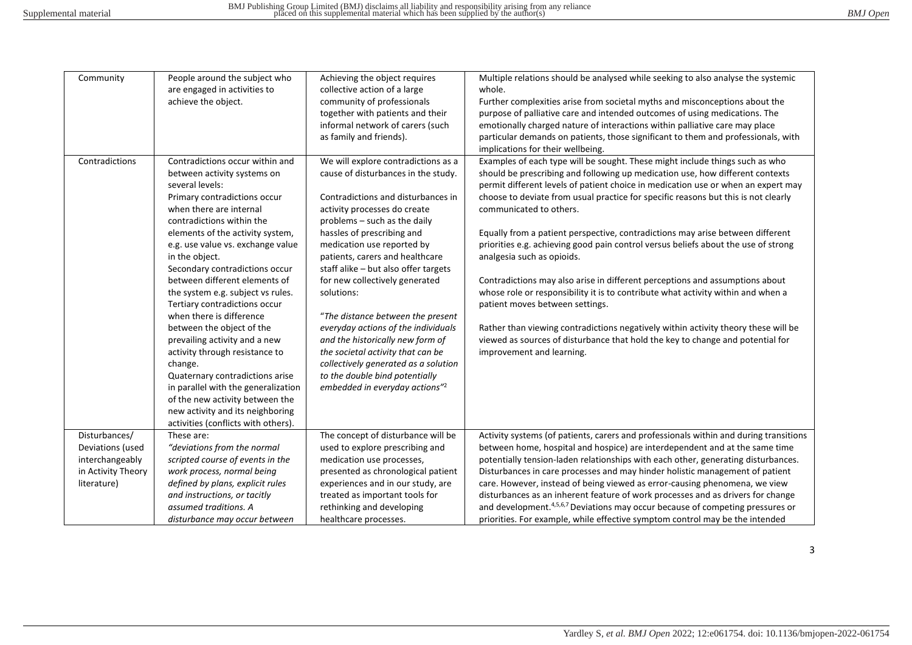| Community                                                                                 | People around the subject who<br>are engaged in activities to<br>achieve the object.                                                                                                                                                                                                                                                                                                                                                                                                                                                                                                                                                                                                                  | Achieving the object requires<br>collective action of a large<br>community of professionals<br>together with patients and their<br>informal network of carers (such<br>as family and friends).                                                                                                                                                                                                                                                                                                                                                                                                                                                       | Multiple relations should be analysed while seeking to also analyse the systemic<br>whole.<br>Further complexities arise from societal myths and misconceptions about the<br>purpose of palliative care and intended outcomes of using medications. The<br>emotionally charged nature of interactions within palliative care may place<br>particular demands on patients, those significant to them and professionals, with<br>implications for their wellbeing.                                                                                                                                                                                                                                                                                                                                                                                                                                                                                                                      |
|-------------------------------------------------------------------------------------------|-------------------------------------------------------------------------------------------------------------------------------------------------------------------------------------------------------------------------------------------------------------------------------------------------------------------------------------------------------------------------------------------------------------------------------------------------------------------------------------------------------------------------------------------------------------------------------------------------------------------------------------------------------------------------------------------------------|------------------------------------------------------------------------------------------------------------------------------------------------------------------------------------------------------------------------------------------------------------------------------------------------------------------------------------------------------------------------------------------------------------------------------------------------------------------------------------------------------------------------------------------------------------------------------------------------------------------------------------------------------|---------------------------------------------------------------------------------------------------------------------------------------------------------------------------------------------------------------------------------------------------------------------------------------------------------------------------------------------------------------------------------------------------------------------------------------------------------------------------------------------------------------------------------------------------------------------------------------------------------------------------------------------------------------------------------------------------------------------------------------------------------------------------------------------------------------------------------------------------------------------------------------------------------------------------------------------------------------------------------------|
| Contradictions                                                                            | Contradictions occur within and<br>between activity systems on<br>several levels:<br>Primary contradictions occur<br>when there are internal<br>contradictions within the<br>elements of the activity system,<br>e.g. use value vs. exchange value<br>in the object.<br>Secondary contradictions occur<br>between different elements of<br>the system e.g. subject vs rules.<br>Tertiary contradictions occur<br>when there is difference<br>between the object of the<br>prevailing activity and a new<br>activity through resistance to<br>change.<br>Quaternary contradictions arise<br>in parallel with the generalization<br>of the new activity between the<br>new activity and its neighboring | We will explore contradictions as a<br>cause of disturbances in the study.<br>Contradictions and disturbances in<br>activity processes do create<br>problems - such as the daily<br>hassles of prescribing and<br>medication use reported by<br>patients, carers and healthcare<br>staff alike - but also offer targets<br>for new collectively generated<br>solutions:<br>"The distance between the present<br>everyday actions of the individuals<br>and the historically new form of<br>the societal activity that can be<br>collectively generated as a solution<br>to the double bind potentially<br>embedded in everyday actions" <sup>2</sup> | Examples of each type will be sought. These might include things such as who<br>should be prescribing and following up medication use, how different contexts<br>permit different levels of patient choice in medication use or when an expert may<br>choose to deviate from usual practice for specific reasons but this is not clearly<br>communicated to others.<br>Equally from a patient perspective, contradictions may arise between different<br>priorities e.g. achieving good pain control versus beliefs about the use of strong<br>analgesia such as opioids.<br>Contradictions may also arise in different perceptions and assumptions about<br>whose role or responsibility it is to contribute what activity within and when a<br>patient moves between settings.<br>Rather than viewing contradictions negatively within activity theory these will be<br>viewed as sources of disturbance that hold the key to change and potential for<br>improvement and learning. |
| Disturbances/<br>Deviations (used<br>interchangeably<br>in Activity Theory<br>literature) | activities (conflicts with others).<br>These are:<br>"deviations from the normal<br>scripted course of events in the<br>work process, normal being<br>defined by plans, explicit rules<br>and instructions, or tacitly<br>assumed traditions. A<br>disturbance may occur between                                                                                                                                                                                                                                                                                                                                                                                                                      | The concept of disturbance will be<br>used to explore prescribing and<br>medication use processes,<br>presented as chronological patient<br>experiences and in our study, are<br>treated as important tools for<br>rethinking and developing<br>healthcare processes.                                                                                                                                                                                                                                                                                                                                                                                | Activity systems (of patients, carers and professionals within and during transitions<br>between home, hospital and hospice) are interdependent and at the same time<br>potentially tension-laden relationships with each other, generating disturbances.<br>Disturbances in care processes and may hinder holistic management of patient<br>care. However, instead of being viewed as error-causing phenomena, we view<br>disturbances as an inherent feature of work processes and as drivers for change<br>and development. <sup>4,5,6,7</sup> Deviations may occur because of competing pressures or<br>priorities. For example, while effective symptom control may be the intended                                                                                                                                                                                                                                                                                              |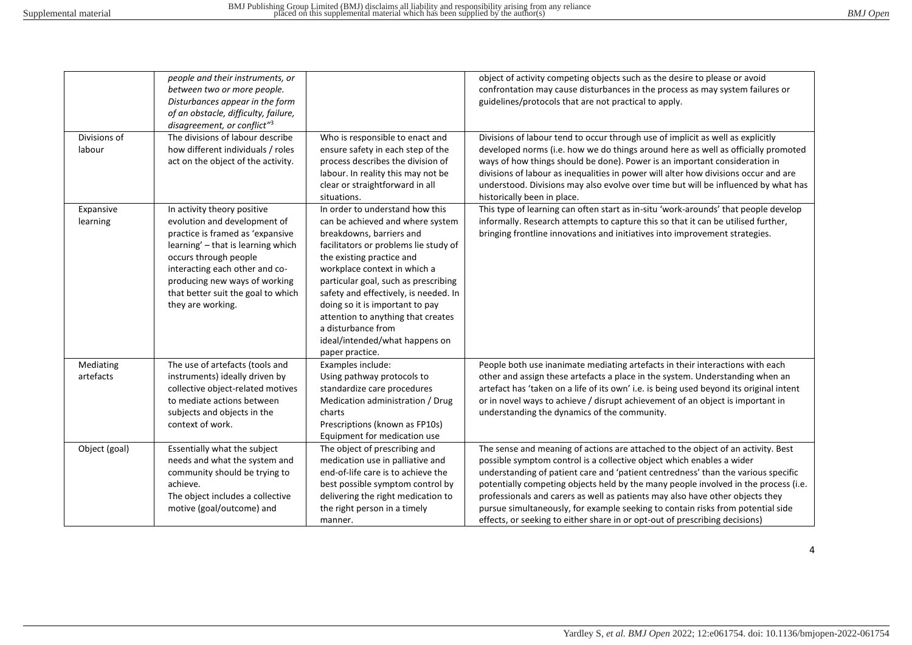|                        | people and their instruments, or<br>between two or more people.<br>Disturbances appear in the form<br>of an obstacle, difficulty, failure,<br>disagreement, or conflict" <sup>3</sup>                                                                                                        |                                                                                                                                                                                                                                                                                                                                                                                                                                            | object of activity competing objects such as the desire to please or avoid<br>confrontation may cause disturbances in the process as may system failures or<br>guidelines/protocols that are not practical to apply.                                                                                                                                                                                                                                                                                                                                                                     |
|------------------------|----------------------------------------------------------------------------------------------------------------------------------------------------------------------------------------------------------------------------------------------------------------------------------------------|--------------------------------------------------------------------------------------------------------------------------------------------------------------------------------------------------------------------------------------------------------------------------------------------------------------------------------------------------------------------------------------------------------------------------------------------|------------------------------------------------------------------------------------------------------------------------------------------------------------------------------------------------------------------------------------------------------------------------------------------------------------------------------------------------------------------------------------------------------------------------------------------------------------------------------------------------------------------------------------------------------------------------------------------|
| Divisions of<br>labour | The divisions of labour describe<br>how different individuals / roles<br>act on the object of the activity.                                                                                                                                                                                  | Who is responsible to enact and<br>ensure safety in each step of the<br>process describes the division of<br>labour. In reality this may not be<br>clear or straightforward in all<br>situations.                                                                                                                                                                                                                                          | Divisions of labour tend to occur through use of implicit as well as explicitly<br>developed norms (i.e. how we do things around here as well as officially promoted<br>ways of how things should be done). Power is an important consideration in<br>divisions of labour as inequalities in power will alter how divisions occur and are<br>understood. Divisions may also evolve over time but will be influenced by what has<br>historically been in place.                                                                                                                           |
| Expansive<br>learning  | In activity theory positive<br>evolution and development of<br>practice is framed as 'expansive<br>learning' - that is learning which<br>occurs through people<br>interacting each other and co-<br>producing new ways of working<br>that better suit the goal to which<br>they are working. | In order to understand how this<br>can be achieved and where system<br>breakdowns, barriers and<br>facilitators or problems lie study of<br>the existing practice and<br>workplace context in which a<br>particular goal, such as prescribing<br>safety and effectively, is needed. In<br>doing so it is important to pay<br>attention to anything that creates<br>a disturbance from<br>ideal/intended/what happens on<br>paper practice. | This type of learning can often start as in-situ 'work-arounds' that people develop<br>informally. Research attempts to capture this so that it can be utilised further,<br>bringing frontline innovations and initiatives into improvement strategies.                                                                                                                                                                                                                                                                                                                                  |
| Mediating<br>artefacts | The use of artefacts (tools and<br>instruments) ideally driven by<br>collective object-related motives<br>to mediate actions between<br>subjects and objects in the<br>context of work.                                                                                                      | Examples include:<br>Using pathway protocols to<br>standardize care procedures<br>Medication administration / Drug<br>charts<br>Prescriptions (known as FP10s)<br>Equipment for medication use                                                                                                                                                                                                                                             | People both use inanimate mediating artefacts in their interactions with each<br>other and assign these artefacts a place in the system. Understanding when an<br>artefact has 'taken on a life of its own' i.e. is being used beyond its original intent<br>or in novel ways to achieve / disrupt achievement of an object is important in<br>understanding the dynamics of the community.                                                                                                                                                                                              |
| Object (goal)          | Essentially what the subject<br>needs and what the system and<br>community should be trying to<br>achieve.<br>The object includes a collective<br>motive (goal/outcome) and                                                                                                                  | The object of prescribing and<br>medication use in palliative and<br>end-of-life care is to achieve the<br>best possible symptom control by<br>delivering the right medication to<br>the right person in a timely<br>manner.                                                                                                                                                                                                               | The sense and meaning of actions are attached to the object of an activity. Best<br>possible symptom control is a collective object which enables a wider<br>understanding of patient care and 'patient centredness' than the various specific<br>potentially competing objects held by the many people involved in the process (i.e.<br>professionals and carers as well as patients may also have other objects they<br>pursue simultaneously, for example seeking to contain risks from potential side<br>effects, or seeking to either share in or opt-out of prescribing decisions) |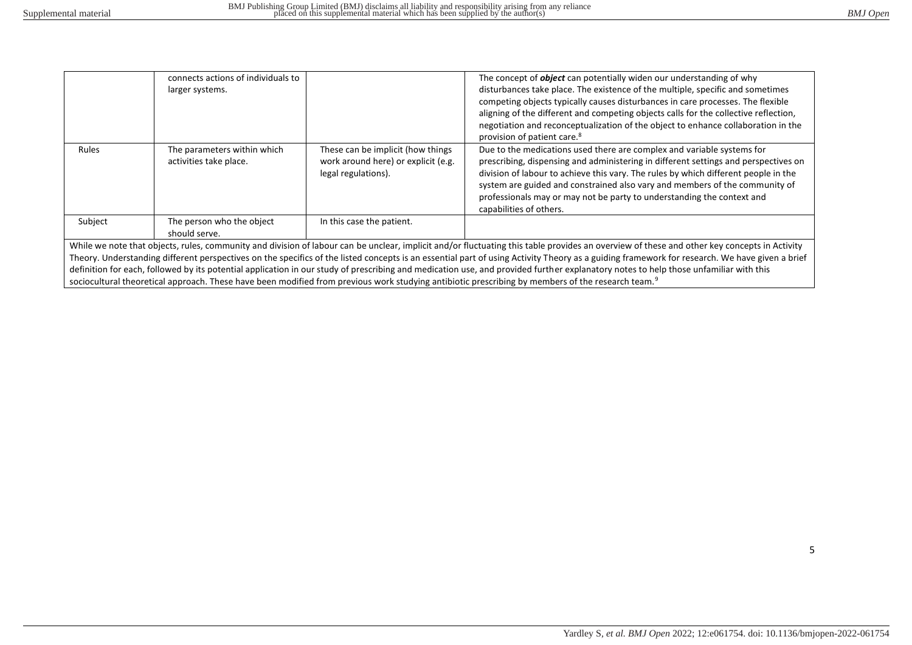|                                                                                                                                                                                               | connects actions of individuals to                    |                                                                                                 | The concept of <i>object</i> can potentially widen our understanding of why                                                                                                                                                                                                                                                                                                                                                              |  |  |  |  |
|-----------------------------------------------------------------------------------------------------------------------------------------------------------------------------------------------|-------------------------------------------------------|-------------------------------------------------------------------------------------------------|------------------------------------------------------------------------------------------------------------------------------------------------------------------------------------------------------------------------------------------------------------------------------------------------------------------------------------------------------------------------------------------------------------------------------------------|--|--|--|--|
|                                                                                                                                                                                               | larger systems.                                       |                                                                                                 | disturbances take place. The existence of the multiple, specific and sometimes                                                                                                                                                                                                                                                                                                                                                           |  |  |  |  |
|                                                                                                                                                                                               |                                                       |                                                                                                 | competing objects typically causes disturbances in care processes. The flexible                                                                                                                                                                                                                                                                                                                                                          |  |  |  |  |
|                                                                                                                                                                                               |                                                       |                                                                                                 | aligning of the different and competing objects calls for the collective reflection,                                                                                                                                                                                                                                                                                                                                                     |  |  |  |  |
|                                                                                                                                                                                               |                                                       |                                                                                                 | negotiation and reconceptualization of the object to enhance collaboration in the                                                                                                                                                                                                                                                                                                                                                        |  |  |  |  |
|                                                                                                                                                                                               |                                                       |                                                                                                 | provision of patient care. <sup>8</sup>                                                                                                                                                                                                                                                                                                                                                                                                  |  |  |  |  |
| Rules                                                                                                                                                                                         | The parameters within which<br>activities take place. | These can be implicit (how things<br>work around here) or explicit (e.g.<br>legal regulations). | Due to the medications used there are complex and variable systems for<br>prescribing, dispensing and administering in different settings and perspectives on<br>division of labour to achieve this vary. The rules by which different people in the<br>system are guided and constrained also vary and members of the community of<br>professionals may or may not be party to understanding the context and<br>capabilities of others. |  |  |  |  |
| Subject                                                                                                                                                                                       | The person who the object<br>should serve.            | In this case the patient.                                                                       |                                                                                                                                                                                                                                                                                                                                                                                                                                          |  |  |  |  |
| While we note that objects, rules, community and division of labour can be unclear, implicit and/or fluctuating this table provides an overview of these and other key concepts in Activity   |                                                       |                                                                                                 |                                                                                                                                                                                                                                                                                                                                                                                                                                          |  |  |  |  |
| Theory. Understanding different perspectives on the specifics of the listed concepts is an essential part of using Activity Theory as a guiding framework for research. We have given a brief |                                                       |                                                                                                 |                                                                                                                                                                                                                                                                                                                                                                                                                                          |  |  |  |  |
| definition for each, followed by its potential application in our study of prescribing and medication use, and provided further explanatory notes to help those unfamiliar with this          |                                                       |                                                                                                 |                                                                                                                                                                                                                                                                                                                                                                                                                                          |  |  |  |  |
| sociocultural theoretical approach. These have been modified from previous work studying antibiotic prescribing by members of the research team. <sup>9</sup>                                 |                                                       |                                                                                                 |                                                                                                                                                                                                                                                                                                                                                                                                                                          |  |  |  |  |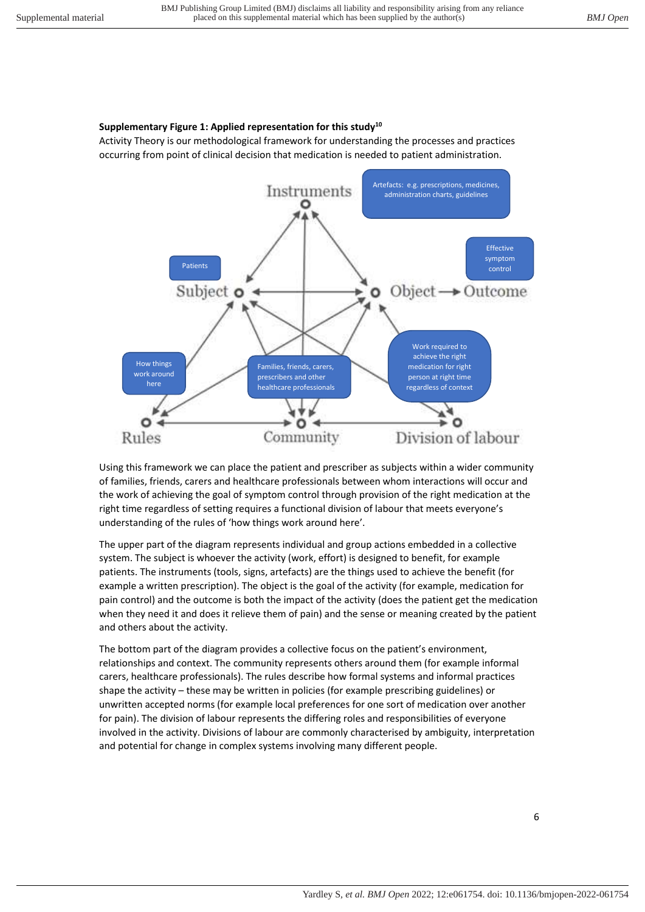# **Supplementary Figure 1: Applied representation for this study<sup>10</sup>**

Activity Theory is our methodological framework for understanding the processes and practices occurring from point of clinical decision that medication is needed to patient administration.



Using this framework we can place the patient and prescriber as subjects within a wider community of families, friends, carers and healthcare professionals between whom interactions will occur and the work of achieving the goal of symptom control through provision of the right medication at the right time regardless of setting requires a functional division of labour that meets everyone's understanding of the rules of 'how things work around here'.

The upper part of the diagram represents individual and group actions embedded in a collective system. The subject is whoever the activity (work, effort) is designed to benefit, for example patients. The instruments (tools, signs, artefacts) are the things used to achieve the benefit (for example a written prescription). The object is the goal of the activity (for example, medication for pain control) and the outcome is both the impact of the activity (does the patient get the medication when they need it and does it relieve them of pain) and the sense or meaning created by the patient and others about the activity.

The bottom part of the diagram provides a collective focus on the patient's environment, relationships and context. The community represents others around them (for example informal carers, healthcare professionals). The rules describe how formal systems and informal practices shape the activity – these may be written in policies (for example prescribing guidelines) or unwritten accepted norms (for example local preferences for one sort of medication over another for pain). The division of labour represents the differing roles and responsibilities of everyone involved in the activity. Divisions of labour are commonly characterised by ambiguity, interpretation and potential for change in complex systems involving many different people.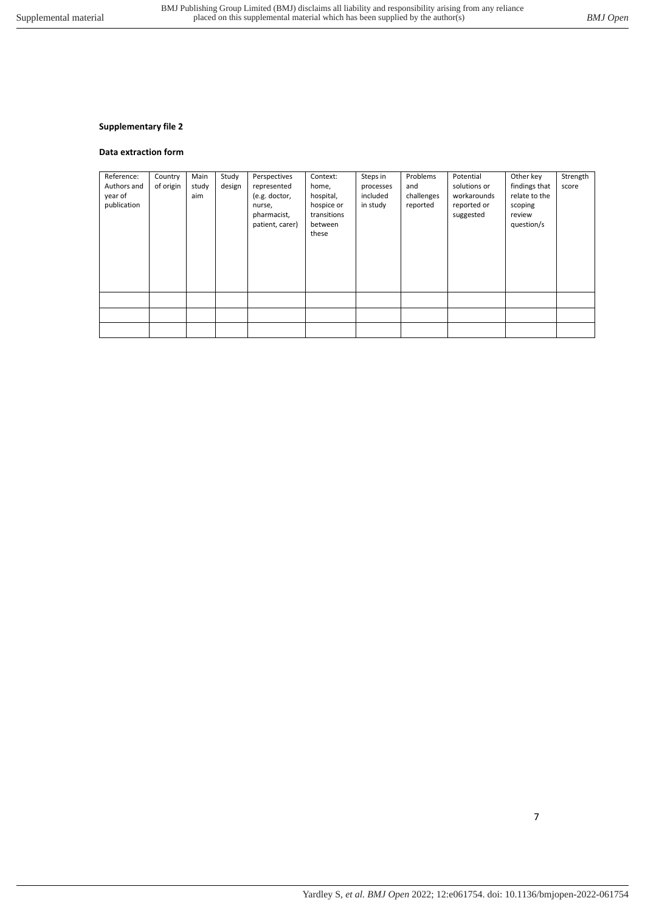#### **Data extraction form**

| Reference:<br>Authors and<br>year of<br>publication | Country<br>of origin | Main<br>study<br>aim | Study<br>design | Perspectives<br>represented<br>(e.g. doctor,<br>nurse,<br>pharmacist,<br>patient, carer) | Context:<br>home,<br>hospital,<br>hospice or<br>transitions<br>between<br>these | Steps in<br>processes<br>included<br>in study | Problems<br>and<br>challenges<br>reported | Potential<br>solutions or<br>workarounds<br>reported or<br>suggested | Other key<br>findings that<br>relate to the<br>scoping<br>review<br>question/s | Strength<br>score |
|-----------------------------------------------------|----------------------|----------------------|-----------------|------------------------------------------------------------------------------------------|---------------------------------------------------------------------------------|-----------------------------------------------|-------------------------------------------|----------------------------------------------------------------------|--------------------------------------------------------------------------------|-------------------|
|                                                     |                      |                      |                 |                                                                                          |                                                                                 |                                               |                                           |                                                                      |                                                                                |                   |
|                                                     |                      |                      |                 |                                                                                          |                                                                                 |                                               |                                           |                                                                      |                                                                                |                   |
|                                                     |                      |                      |                 |                                                                                          |                                                                                 |                                               |                                           |                                                                      |                                                                                |                   |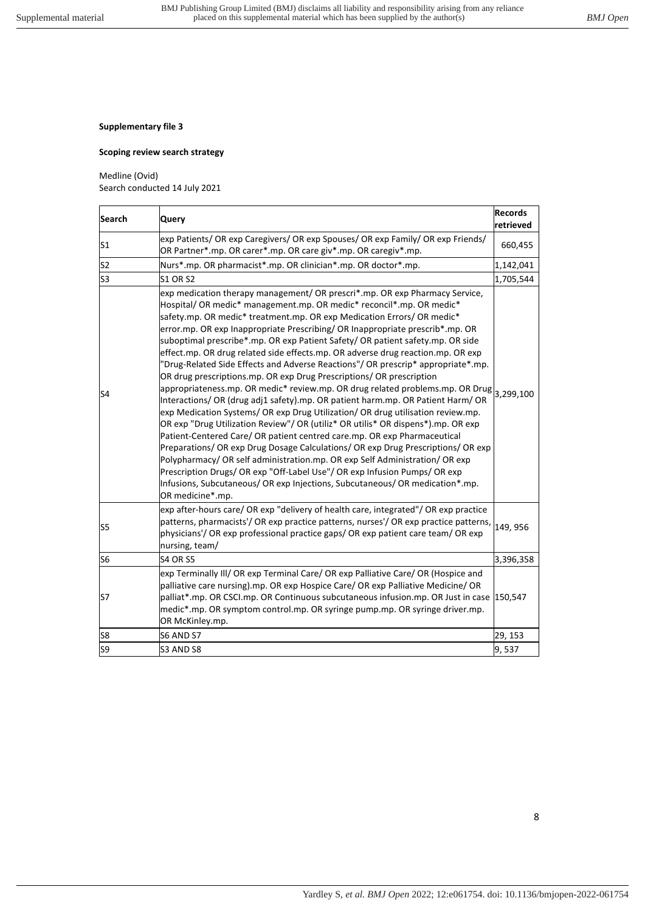## **Scoping review search strategy**

## Medline (Ovid)

Search conducted 14 July 2021

| <b>Search</b>  | Query                                                                                                                                                                                                                                                                                                                                                                                                                                                                                                                                                                                                                                                                                                                                                                                                                                                                                                                                                                                                                                                                                                                                                                                                                                                                                                                                                                                                                      | <b>Records</b><br>retrieved |
|----------------|----------------------------------------------------------------------------------------------------------------------------------------------------------------------------------------------------------------------------------------------------------------------------------------------------------------------------------------------------------------------------------------------------------------------------------------------------------------------------------------------------------------------------------------------------------------------------------------------------------------------------------------------------------------------------------------------------------------------------------------------------------------------------------------------------------------------------------------------------------------------------------------------------------------------------------------------------------------------------------------------------------------------------------------------------------------------------------------------------------------------------------------------------------------------------------------------------------------------------------------------------------------------------------------------------------------------------------------------------------------------------------------------------------------------------|-----------------------------|
| S <sub>1</sub> | exp Patients/ OR exp Caregivers/ OR exp Spouses/ OR exp Family/ OR exp Friends/<br>OR Partner*.mp. OR carer*.mp. OR care giv*.mp. OR caregiv*.mp.                                                                                                                                                                                                                                                                                                                                                                                                                                                                                                                                                                                                                                                                                                                                                                                                                                                                                                                                                                                                                                                                                                                                                                                                                                                                          | 660,455                     |
| S <sub>2</sub> | Nurs*.mp. OR pharmacist*.mp. OR clinician*.mp. OR doctor*.mp.                                                                                                                                                                                                                                                                                                                                                                                                                                                                                                                                                                                                                                                                                                                                                                                                                                                                                                                                                                                                                                                                                                                                                                                                                                                                                                                                                              | 1,142,041                   |
| S <sub>3</sub> | <b>S1 OR S2</b>                                                                                                                                                                                                                                                                                                                                                                                                                                                                                                                                                                                                                                                                                                                                                                                                                                                                                                                                                                                                                                                                                                                                                                                                                                                                                                                                                                                                            | 1,705,544                   |
| S4             | exp medication therapy management/ OR prescri*.mp. OR exp Pharmacy Service,<br>Hospital/ OR medic* management.mp. OR medic* reconcil*.mp. OR medic*<br>safety.mp. OR medic* treatment.mp. OR exp Medication Errors/ OR medic*<br>error.mp. OR exp Inappropriate Prescribing/ OR Inappropriate prescrib*.mp. OR<br>suboptimal prescribe*.mp. OR exp Patient Safety/ OR patient safety.mp. OR side<br>effect.mp. OR drug related side effects.mp. OR adverse drug reaction.mp. OR exp<br>"Drug-Related Side Effects and Adverse Reactions"/ OR prescrip* appropriate*.mp.<br>OR drug prescriptions.mp. OR exp Drug Prescriptions/ OR prescription<br>appropriateness.mp. OR medic* review.mp. OR drug related problems.mp. OR Drug<br>Interactions/ OR (drug adj1 safety).mp. OR patient harm.mp. OR Patient Harm/ OR<br>exp Medication Systems/ OR exp Drug Utilization/ OR drug utilisation review.mp.<br>OR exp "Drug Utilization Review"/ OR (utiliz* OR utilis* OR dispens*).mp. OR exp<br>Patient-Centered Care/ OR patient centred care.mp. OR exp Pharmaceutical<br>Preparations/ OR exp Drug Dosage Calculations/ OR exp Drug Prescriptions/ OR exp<br>Polypharmacy/ OR self administration.mp. OR exp Self Administration/ OR exp<br>Prescription Drugs/ OR exp "Off-Label Use"/ OR exp Infusion Pumps/ OR exp<br>Infusions, Subcutaneous/ OR exp Injections, Subcutaneous/ OR medication*.mp.<br>OR medicine*.mp. | 3,299,100                   |
| S <sub>5</sub> | exp after-hours care/ OR exp "delivery of health care, integrated"/ OR exp practice<br>patterns, pharmacists'/ OR exp practice patterns, nurses'/ OR exp practice patterns,<br>physicians'/ OR exp professional practice gaps/ OR exp patient care team/ OR exp<br>nursing, team/                                                                                                                                                                                                                                                                                                                                                                                                                                                                                                                                                                                                                                                                                                                                                                                                                                                                                                                                                                                                                                                                                                                                          | 149, 956                    |
| S <sub>6</sub> | <b>S4 OR S5</b>                                                                                                                                                                                                                                                                                                                                                                                                                                                                                                                                                                                                                                                                                                                                                                                                                                                                                                                                                                                                                                                                                                                                                                                                                                                                                                                                                                                                            | 3,396,358                   |
| S7             | exp Terminally III/ OR exp Terminal Care/ OR exp Palliative Care/ OR (Hospice and<br>palliative care nursing).mp. OR exp Hospice Care/ OR exp Palliative Medicine/ OR<br>palliat*.mp. OR CSCI.mp. OR Continuous subcutaneous infusion.mp. OR Just in case 150,547<br>medic*.mp. OR symptom control.mp. OR syringe pump.mp. OR syringe driver.mp.<br>OR McKinley.mp.                                                                                                                                                                                                                                                                                                                                                                                                                                                                                                                                                                                                                                                                                                                                                                                                                                                                                                                                                                                                                                                        |                             |
| S8             | S6 AND S7                                                                                                                                                                                                                                                                                                                                                                                                                                                                                                                                                                                                                                                                                                                                                                                                                                                                                                                                                                                                                                                                                                                                                                                                                                                                                                                                                                                                                  | 29, 153                     |
| S9             | S3 AND S8                                                                                                                                                                                                                                                                                                                                                                                                                                                                                                                                                                                                                                                                                                                                                                                                                                                                                                                                                                                                                                                                                                                                                                                                                                                                                                                                                                                                                  | 9,537                       |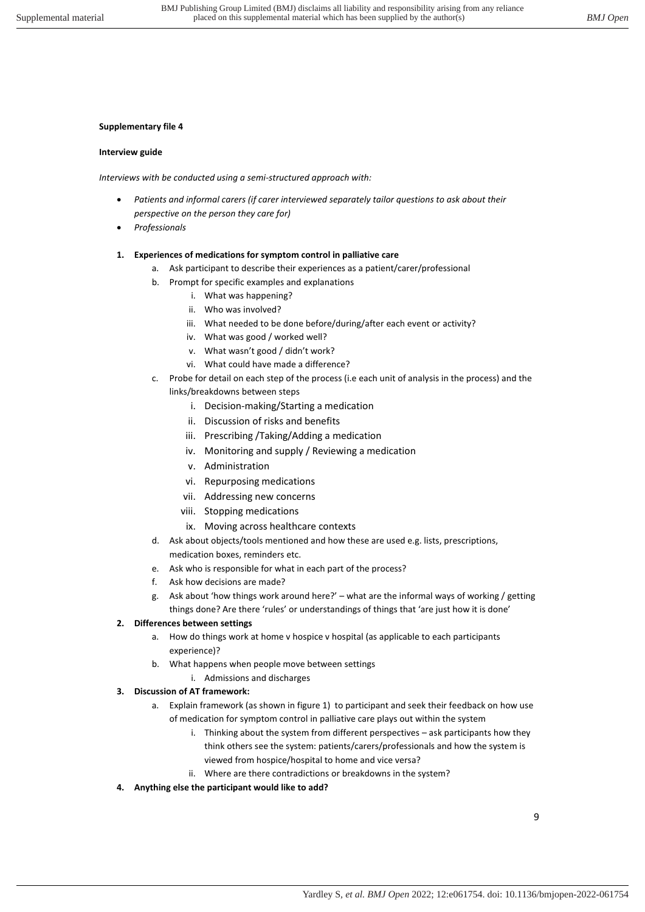## **Interview guide**

*Interviews with be conducted using a semi-structured approach with:* 

- *Patients and informal carers (if carer interviewed separately tailor questions to ask about their perspective on the person they care for)*
- *Professionals*
- **1. Experiences of medications for symptom control in palliative care** 
	- a. Ask participant to describe their experiences as a patient/carer/professional
	- b. Prompt for specific examples and explanations
		- i. What was happening?
		- ii. Who was involved?
		- iii. What needed to be done before/during/after each event or activity?
		- iv. What was good / worked well?
		- v. What wasn't good / didn't work?
		- vi. What could have made a difference?
	- c. Probe for detail on each step of the process (i.e each unit of analysis in the process) and the
		- links/breakdowns between steps
			- i. Decision-making/Starting a medication
			- ii. Discussion of risks and benefits
			- iii. Prescribing /Taking/Adding a medication
			- iv. Monitoring and supply / Reviewing a medication
			- v. Administration
			- vi. Repurposing medications
			- vii. Addressing new concerns
			- viii. Stopping medications
			- ix. Moving across healthcare contexts
	- d. Ask about objects/tools mentioned and how these are used e.g. lists, prescriptions, medication boxes, reminders etc.
	- e. Ask who is responsible for what in each part of the process?
	- f. Ask how decisions are made?
	- g. Ask about 'how things work around here?' what are the informal ways of working / getting
	- things done? Are there 'rules' or understandings of things that 'are just how it is done'

# **2. Differences between settings**

- a. How do things work at home v hospice v hospital (as applicable to each participants experience)?
- b. What happens when people move between settings
	- i. Admissions and discharges

# **3. Discussion of AT framework:**

- a. Explain framework (as shown in figure 1) to participant and seek their feedback on how use of medication for symptom control in palliative care plays out within the system
	- i. Thinking about the system from different perspectives ask participants how they think others see the system: patients/carers/professionals and how the system is viewed from hospice/hospital to home and vice versa?
	- ii. Where are there contradictions or breakdowns in the system?
- **4. Anything else the participant would like to add?**